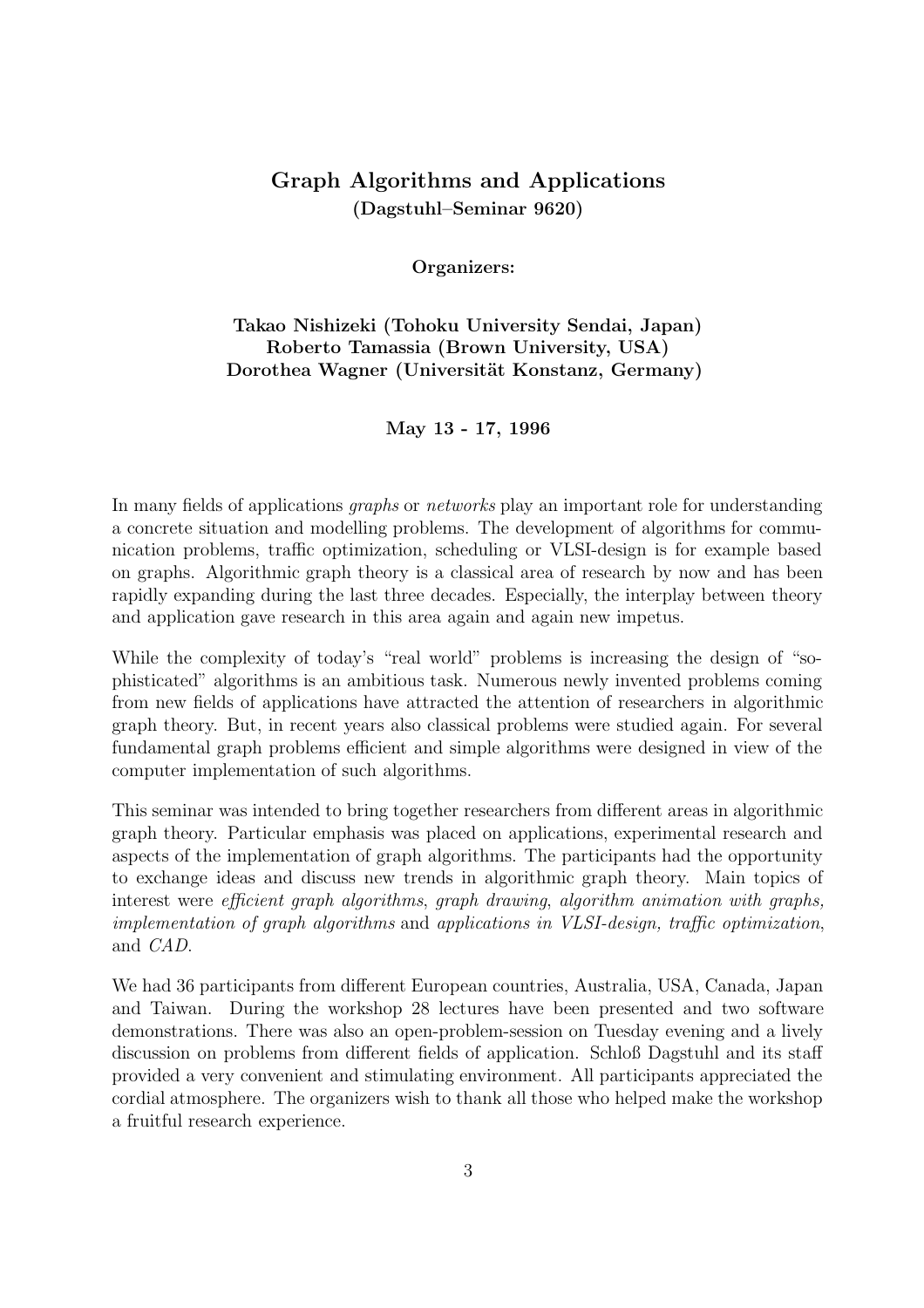# Graph Algorithms and Applications (Dagstuhl–Seminar 9620)

Organizers:

Takao Nishizeki (Tohoku University Sendai, Japan) Roberto Tamassia (Brown University, USA) Dorothea Wagner (Universität Konstanz, Germany)

May 13 - 17, 1996

In many fields of applications graphs or networks play an important role for understanding a concrete situation and modelling problems. The development of algorithms for communication problems, traffic optimization, scheduling or VLSI-design is for example based on graphs. Algorithmic graph theory is a classical area of research by now and has been rapidly expanding during the last three decades. Especially, the interplay between theory and application gave research in this area again and again new impetus.

While the complexity of today's "real world" problems is increasing the design of "sophisticated" algorithms is an ambitious task. Numerous newly invented problems coming from new fields of applications have attracted the attention of researchers in algorithmic graph theory. But, in recent years also classical problems were studied again. For several fundamental graph problems efficient and simple algorithms were designed in view of the computer implementation of such algorithms.

This seminar was intended to bring together researchers from different areas in algorithmic graph theory. Particular emphasis was placed on applications, experimental research and aspects of the implementation of graph algorithms. The participants had the opportunity to exchange ideas and discuss new trends in algorithmic graph theory. Main topics of interest were *efficient graph algorithms, graph drawing, algorithm animation with graphs,* implementation of graph algorithms and applications in VLSI-design, traffic optimization, and CAD.

We had 36 participants from different European countries, Australia, USA, Canada, Japan and Taiwan. During the workshop 28 lectures have been presented and two software demonstrations. There was also an open-problem-session on Tuesday evening and a lively discussion on problems from different fields of application. Schloß Dagstuhl and its staff provided a very convenient and stimulating environment. All participants appreciated the cordial atmosphere. The organizers wish to thank all those who helped make the workshop a fruitful research experience.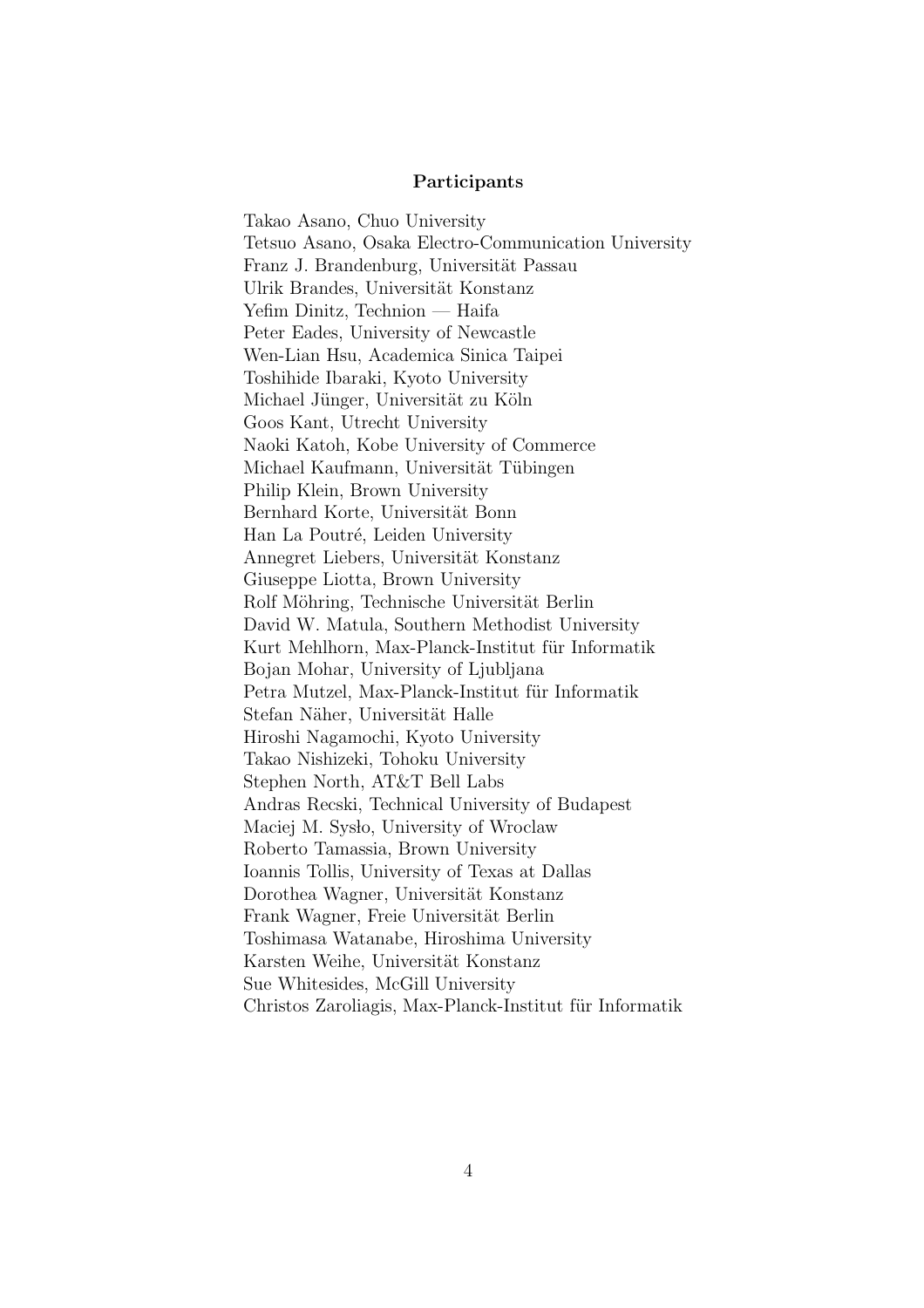#### Participants

Takao Asano, Chuo University Tetsuo Asano, Osaka Electro-Communication University Franz J. Brandenburg, Universität Passau Ulrik Brandes, Universität Konstanz Yefim Dinitz, Technion — Haifa Peter Eades, University of Newcastle Wen-Lian Hsu, Academica Sinica Taipei Toshihide Ibaraki, Kyoto University Michael Jünger, Universität zu Köln Goos Kant, Utrecht University Naoki Katoh, Kobe University of Commerce Michael Kaufmann, Universität Tübingen Philip Klein, Brown University Bernhard Korte, Universität Bonn Han La Poutré, Leiden University Annegret Liebers, Universität Konstanz Giuseppe Liotta, Brown University Rolf Möhring, Technische Universität Berlin David W. Matula, Southern Methodist University Kurt Mehlhorn, Max-Planck-Institut für Informatik Bojan Mohar, University of Ljubljana Petra Mutzel, Max-Planck-Institut für Informatik Stefan Näher, Universität Halle Hiroshi Nagamochi, Kyoto University Takao Nishizeki, Tohoku University Stephen North, AT&T Bell Labs Andras Recski, Technical University of Budapest Maciej M. Syslo, University of Wroclaw Roberto Tamassia, Brown University Ioannis Tollis, University of Texas at Dallas Dorothea Wagner, Universität Konstanz Frank Wagner, Freie Universität Berlin Toshimasa Watanabe, Hiroshima University Karsten Weihe, Universität Konstanz Sue Whitesides, McGill University Christos Zaroliagis, Max-Planck-Institut für Informatik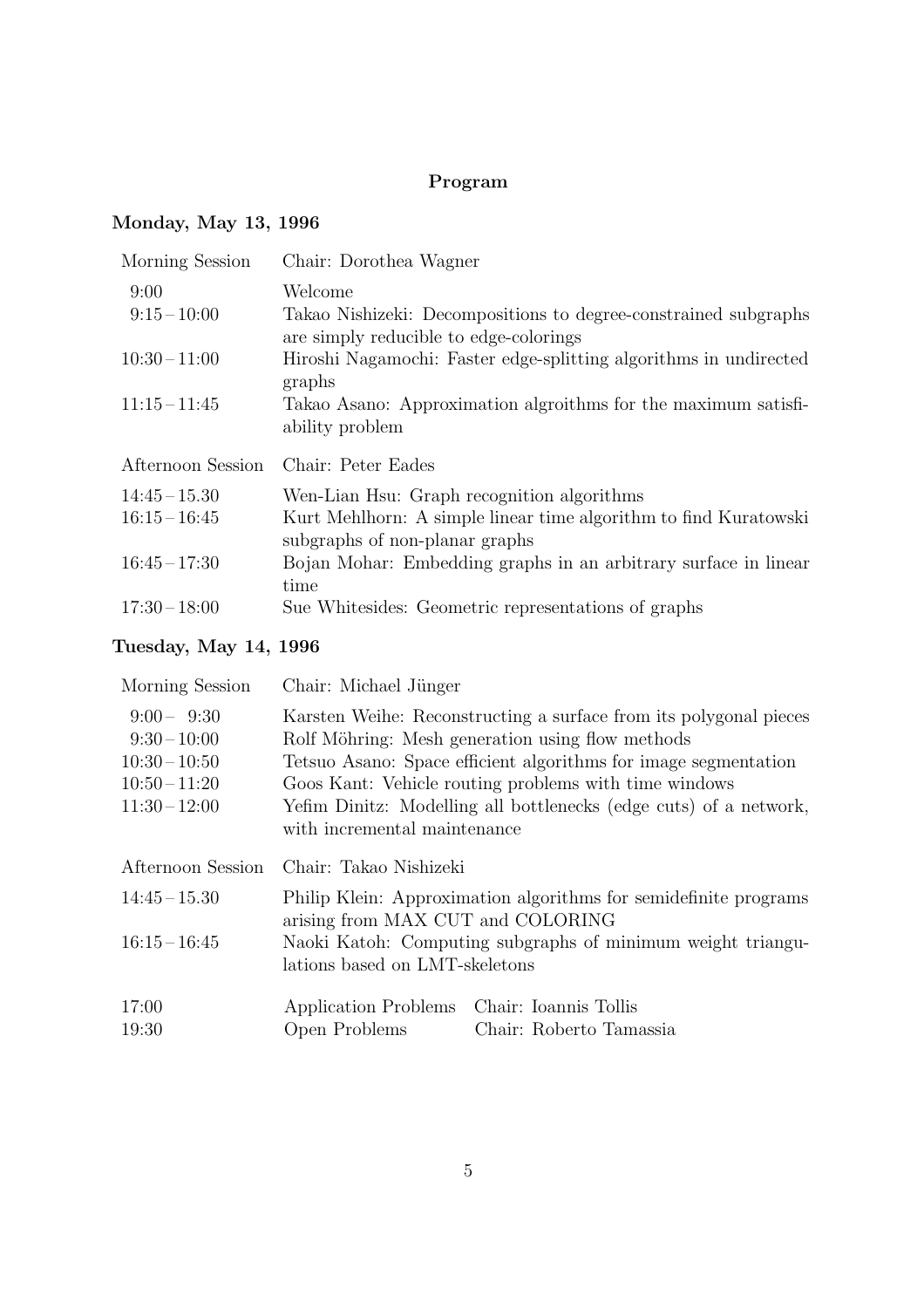# Program

# Monday, May 13, 1996

| Morning Session   | Chair: Dorothea Wagner                                                                                    |
|-------------------|-----------------------------------------------------------------------------------------------------------|
| 9:00              | Welcome                                                                                                   |
| $9:15-10:00$      | Takao Nishizeki: Decompositions to degree-constrained subgraphs<br>are simply reducible to edge-colorings |
| $10:30 - 11:00$   | Hiroshi Nagamochi: Faster edge-splitting algorithms in undirected<br>graphs                               |
| $11:15 - 11:45$   | Takao Asano: Approximation algroithms for the maximum satisfi-                                            |
|                   | ability problem                                                                                           |
|                   |                                                                                                           |
| Afternoon Session | Chair: Peter Eades                                                                                        |
| $14:45 - 15.30$   | Wen-Lian Hsu: Graph recognition algorithms                                                                |
| $16:15 - 16:45$   | Kurt Mehlhorn: A simple linear time algorithm to find Kuratowski                                          |
|                   | subgraphs of non-planar graphs                                                                            |
| $16:45 - 17:30$   | Bojan Mohar: Embedding graphs in an arbitrary surface in linear                                           |
|                   | time                                                                                                      |

# Tuesday, May 14, 1996

| Morning Session               | Chair: Michael Jünger                                       |                                                                                                                       |
|-------------------------------|-------------------------------------------------------------|-----------------------------------------------------------------------------------------------------------------------|
| $9:00 - 9:30$<br>$9:30-10:00$ |                                                             | Karsten Weihe: Reconstructing a surface from its polygonal pieces<br>Rolf Möhring: Mesh generation using flow methods |
| $10:30-10:50$                 |                                                             | Tetsuo Asano: Space efficient algorithms for image segmentation                                                       |
| $10:50 - 11:20$               |                                                             | Goos Kant: Vehicle routing problems with time windows                                                                 |
| $11:30-12:00$                 | with incremental maintenance                                | Yefim Dinitz: Modelling all bottlenecks (edge cuts) of a network,                                                     |
| Afternoon Session             | Chair: Takao Nishizeki                                      |                                                                                                                       |
| $14:45 - 15.30$               | arising from MAX CUT and COLORING                           | Philip Klein: Approximation algorithms for semidefinite programs                                                      |
| $16:15 - 16:45$               | Naoki Katoh: Computing subgraphs of minimum weight triangu- |                                                                                                                       |
|                               | lations based on LMT-skeletons                              |                                                                                                                       |
| 17:00                         | Application Problems                                        | Chair: Ioannis Tollis                                                                                                 |
| 19:30                         | Open Problems                                               | Chair: Roberto Tamassia                                                                                               |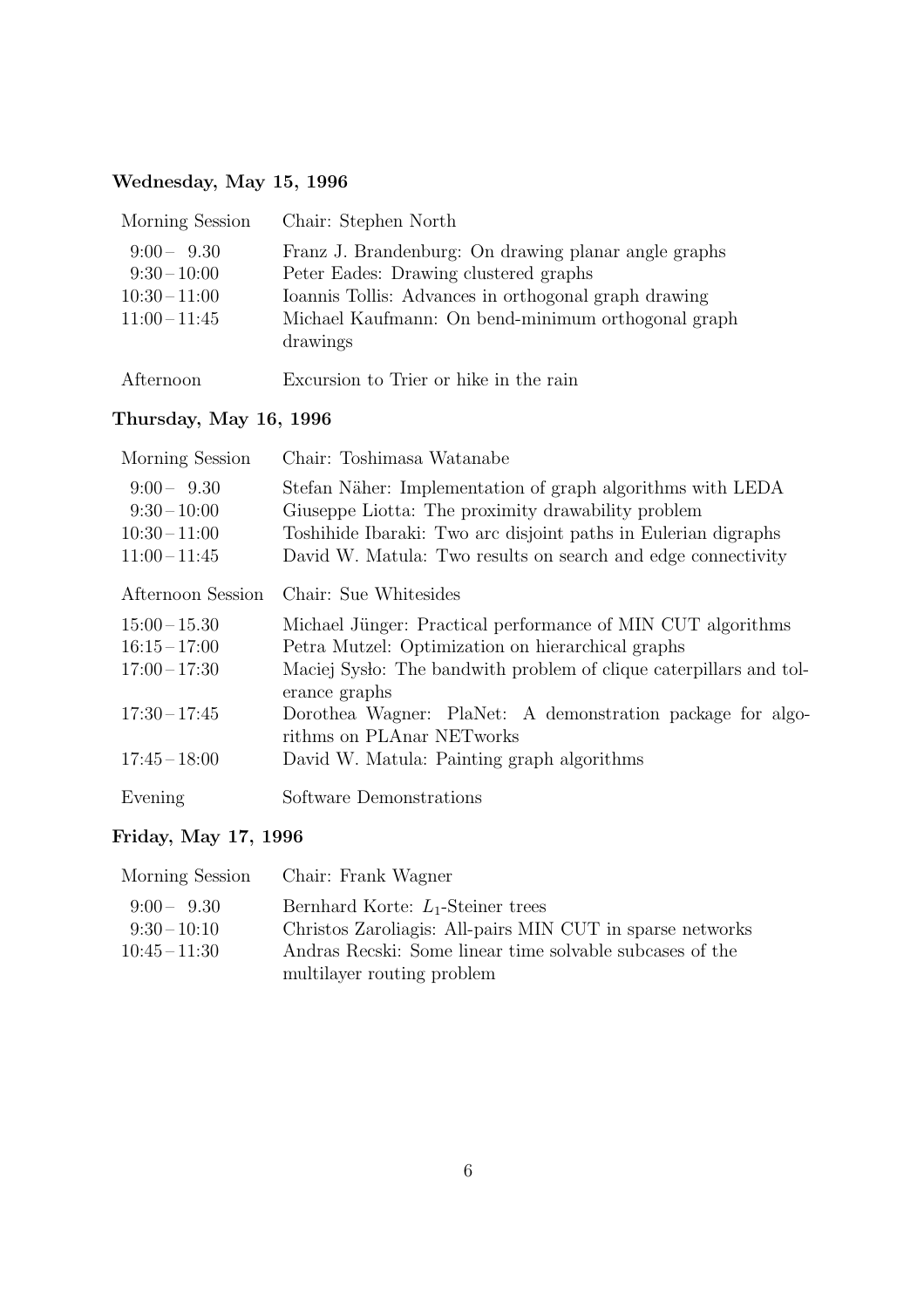# Wednesday, May 15, 1996

| Morning Session                                                 | Chair: Stephen North                                                                                                                                                                                                    |
|-----------------------------------------------------------------|-------------------------------------------------------------------------------------------------------------------------------------------------------------------------------------------------------------------------|
| $9:00 - 9.30$<br>$9:30-10:00$<br>$10:30-11:00$<br>$11:00-11:45$ | Franz J. Brandenburg: On drawing planar angle graphs<br>Peter Eades: Drawing clustered graphs<br>Ioannis Tollis: Advances in orthogonal graph drawing<br>Michael Kaufmann: On bend-minimum orthogonal graph<br>drawings |
| Afternoon                                                       | Excursion to Trier or hike in the rain                                                                                                                                                                                  |

# Thursday, May 16, 1996

| Morning Session                                                 | Chair: Toshimasa Watanabe                                                                                                                                                                                                                          |
|-----------------------------------------------------------------|----------------------------------------------------------------------------------------------------------------------------------------------------------------------------------------------------------------------------------------------------|
| $9:00 - 9.30$<br>$9:30-10:00$<br>$10:30-11:00$<br>$11:00-11:45$ | Stefan Näher: Implementation of graph algorithms with LEDA<br>Giuseppe Liotta: The proximity drawability problem<br>Toshihide Ibaraki: Two arc disjoint paths in Eulerian digraphs<br>David W. Matula: Two results on search and edge connectivity |
| Afternoon Session                                               | Chair: Sue Whitesides                                                                                                                                                                                                                              |
| $15:00 - 15.30$<br>$16:15 - 17:00$<br>$17:00 - 17:30$           | Michael Jünger: Practical performance of MIN CUT algorithms<br>Petra Mutzel: Optimization on hierarchical graphs<br>Maciej Systo: The bandwith problem of clique caterpillars and tol-<br>erance graphs                                            |
| $17:30 - 17:45$                                                 | Dorothea Wagner: PlaNet: A demonstration package for algo-<br>rithms on PLAnar NETworks                                                                                                                                                            |
| $17:45 - 18:00$                                                 | David W. Matula: Painting graph algorithms                                                                                                                                                                                                         |
| Evening                                                         | Software Demonstrations                                                                                                                                                                                                                            |

# Friday, May 17, 1996

| Morning Session | Chair: Frank Wagner                                       |
|-----------------|-----------------------------------------------------------|
| $9:00 - 9.30$   | Bernhard Korte: $L_1$ -Steiner trees                      |
| $9:30-10:10$    | Christos Zaroliagis: All-pairs MIN CUT in sparse networks |
| $10:45 - 11:30$ | Andras Recski: Some linear time solvable subcases of the  |
|                 | multilayer routing problem                                |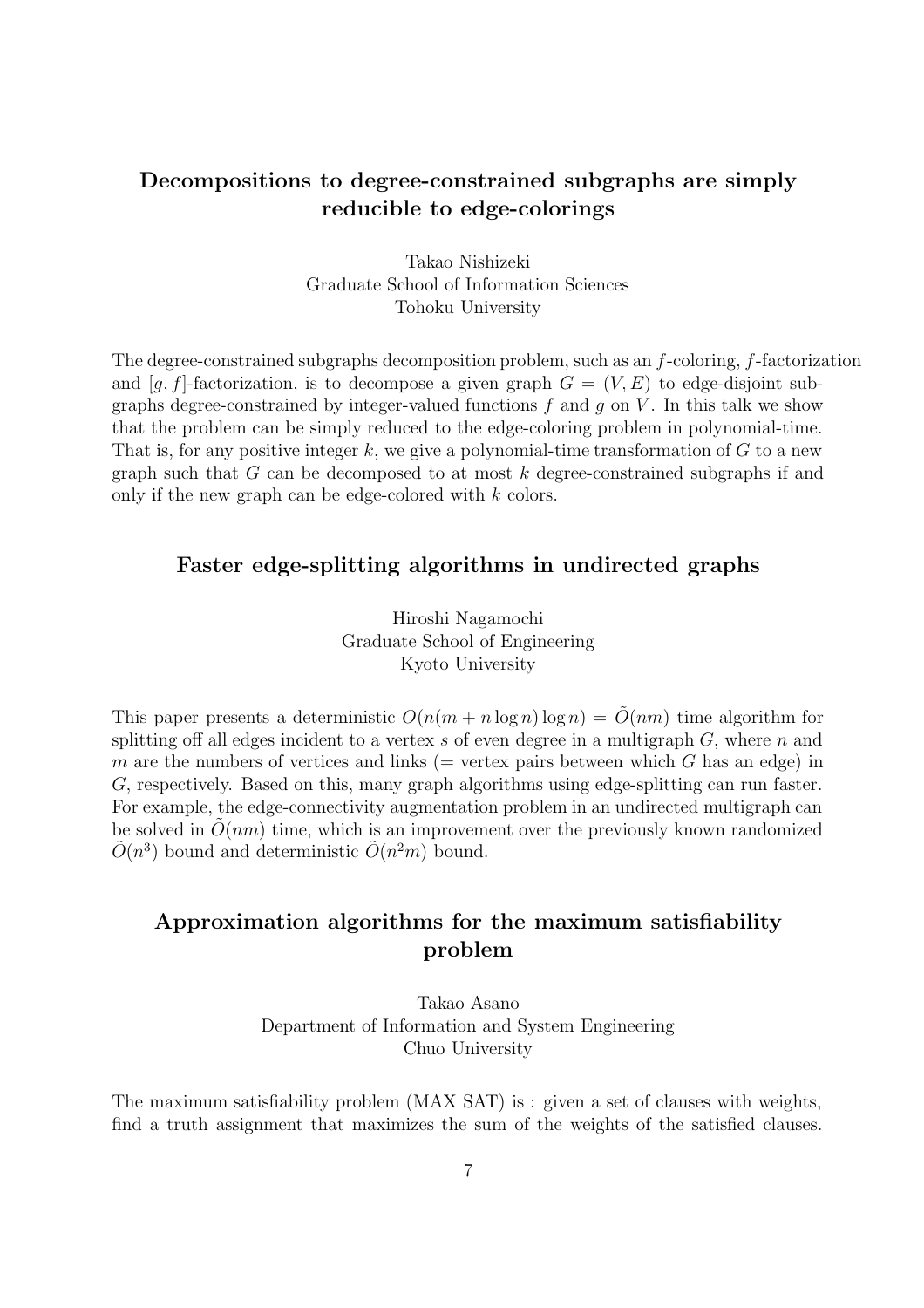# Decompositions to degree-constrained subgraphs are simply reducible to edge-colorings

Takao Nishizeki Graduate School of Information Sciences Tohoku University

The degree-constrained subgraphs decomposition problem, such as an  $f$ -coloring,  $f$ -factorization and [q, f]-factorization, is to decompose a given graph  $G = (V, E)$  to edge-disjoint subgraphs degree-constrained by integer-valued functions  $f$  and  $g$  on  $V$ . In this talk we show that the problem can be simply reduced to the edge-coloring problem in polynomial-time. That is, for any positive integer k, we give a polynomial-time transformation of  $G$  to a new graph such that  $G$  can be decomposed to at most  $k$  degree-constrained subgraphs if and only if the new graph can be edge-colored with k colors.

## Faster edge-splitting algorithms in undirected graphs

Hiroshi Nagamochi Graduate School of Engineering Kyoto University

This paper presents a deterministic  $O(n(m + n \log n) \log n) = O(nm)$  time algorithm for splitting off all edges incident to a vertex s of even degree in a multigraph  $G$ , where  $n$  and m are the numbers of vertices and links ( $=$  vertex pairs between which G has an edge) in G, respectively. Based on this, many graph algorithms using edge-splitting can run faster. For example, the edge-connectivity augmentation problem in an undirected multigraph can be solved in  $\tilde{O}(nm)$  time, which is an improvement over the previously known randomized  $\tilde{O}(n^3)$  bound and deterministic  $\tilde{O}(n^2m)$  bound.

# Approximation algorithms for the maximum satisfiability problem

Takao Asano Department of Information and System Engineering Chuo University

The maximum satisfiability problem (MAX SAT) is : given a set of clauses with weights, find a truth assignment that maximizes the sum of the weights of the satisfied clauses.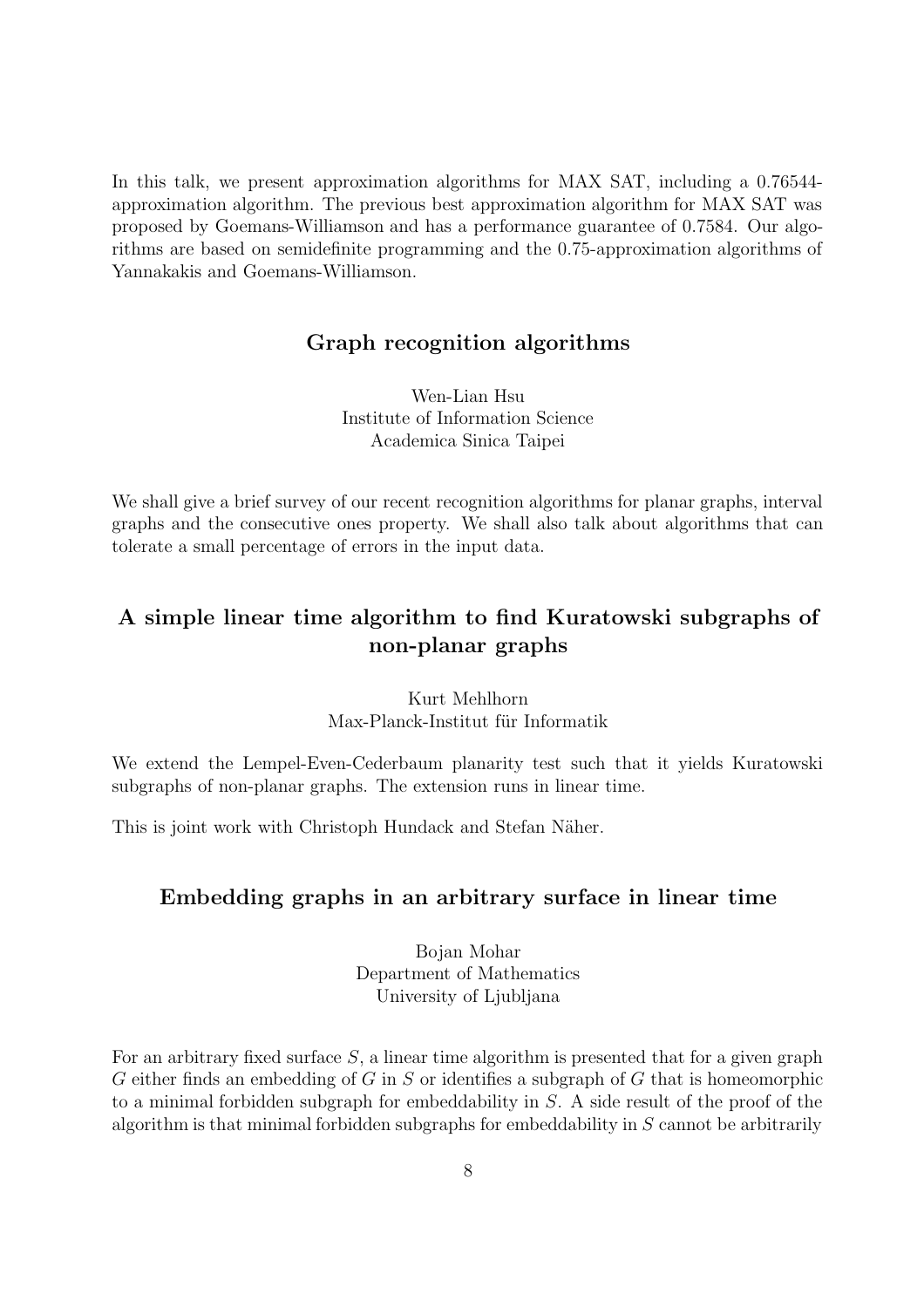In this talk, we present approximation algorithms for MAX SAT, including a 0.76544 approximation algorithm. The previous best approximation algorithm for MAX SAT was proposed by Goemans-Williamson and has a performance guarantee of 0.7584. Our algorithms are based on semidefinite programming and the 0.75-approximation algorithms of Yannakakis and Goemans-Williamson.

## Graph recognition algorithms

Wen-Lian Hsu Institute of Information Science Academica Sinica Taipei

We shall give a brief survey of our recent recognition algorithms for planar graphs, interval graphs and the consecutive ones property. We shall also talk about algorithms that can tolerate a small percentage of errors in the input data.

# A simple linear time algorithm to find Kuratowski subgraphs of non-planar graphs

Kurt Mehlhorn Max-Planck-Institut für Informatik

We extend the Lempel-Even-Cederbaum planarity test such that it yields Kuratowski subgraphs of non-planar graphs. The extension runs in linear time.

This is joint work with Christoph Hundack and Stefan Näher.

## Embedding graphs in an arbitrary surface in linear time

Bojan Mohar Department of Mathematics University of Ljubljana

For an arbitrary fixed surface S, a linear time algorithm is presented that for a given graph G either finds an embedding of G in S or identifies a subgraph of G that is homeomorphic to a minimal forbidden subgraph for embeddability in S. A side result of the proof of the algorithm is that minimal forbidden subgraphs for embeddability in  $S$  cannot be arbitrarily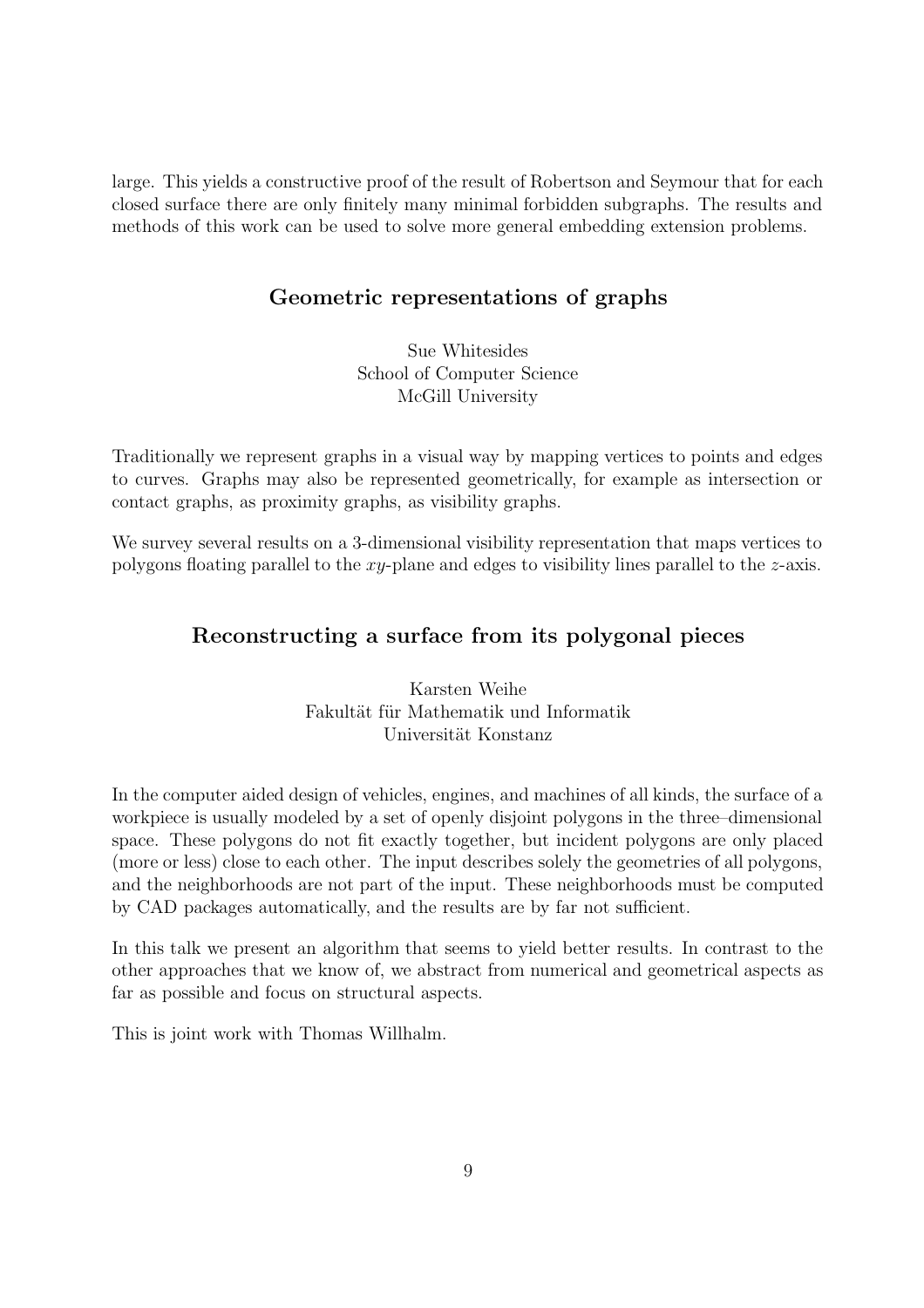large. This yields a constructive proof of the result of Robertson and Seymour that for each closed surface there are only finitely many minimal forbidden subgraphs. The results and methods of this work can be used to solve more general embedding extension problems.

# Geometric representations of graphs

Sue Whitesides School of Computer Science McGill University

Traditionally we represent graphs in a visual way by mapping vertices to points and edges to curves. Graphs may also be represented geometrically, for example as intersection or contact graphs, as proximity graphs, as visibility graphs.

We survey several results on a 3-dimensional visibility representation that maps vertices to polygons floating parallel to the xy-plane and edges to visibility lines parallel to the z-axis.

## Reconstructing a surface from its polygonal pieces

Karsten Weihe Fakultät für Mathematik und Informatik Universität Konstanz

In the computer aided design of vehicles, engines, and machines of all kinds, the surface of a workpiece is usually modeled by a set of openly disjoint polygons in the three–dimensional space. These polygons do not fit exactly together, but incident polygons are only placed (more or less) close to each other. The input describes solely the geometries of all polygons, and the neighborhoods are not part of the input. These neighborhoods must be computed by CAD packages automatically, and the results are by far not sufficient.

In this talk we present an algorithm that seems to yield better results. In contrast to the other approaches that we know of, we abstract from numerical and geometrical aspects as far as possible and focus on structural aspects.

This is joint work with Thomas Willhalm.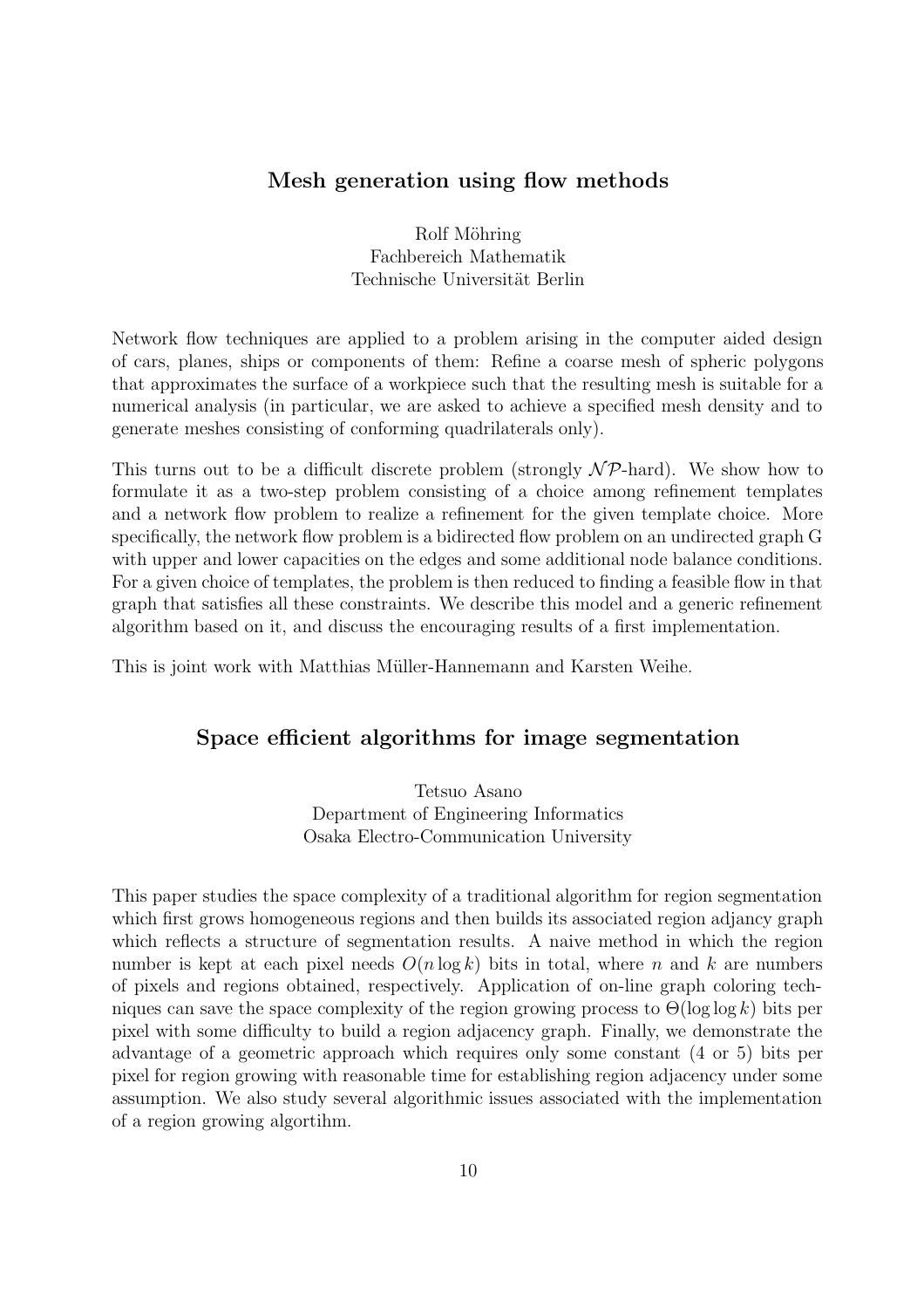## Mesh generation using flow methods

Rolf Möhring Fachbereich Mathematik Technische Universität Berlin

Network flow techniques are applied to a problem arising in the computer aided design of cars, planes, ships or components of them: Refine a coarse mesh of spheric polygons that approximates the surface of a workpiece such that the resulting mesh is suitable for a numerical analysis (in particular, we are asked to achieve a specified mesh density and to generate meshes consisting of conforming quadrilaterals only).

This turns out to be a difficult discrete problem (strongly  $N\mathcal{P}$ -hard). We show how to formulate it as a two-step problem consisting of a choice among refinement templates and a network flow problem to realize a refinement for the given template choice. More specifically, the network flow problem is a bidirected flow problem on an undirected graph G with upper and lower capacities on the edges and some additional node balance conditions. For a given choice of templates, the problem is then reduced to finding a feasible flow in that graph that satisfies all these constraints. We describe this model and a generic refinement algorithm based on it, and discuss the encouraging results of a first implementation.

This is joint work with Matthias Müller-Hannemann and Karsten Weihe.

## Space efficient algorithms for image segmentation

Tetsuo Asano Department of Engineering Informatics Osaka Electro-Communication University

This paper studies the space complexity of a traditional algorithm for region segmentation which first grows homogeneous regions and then builds its associated region adjancy graph which reflects a structure of segmentation results. A naive method in which the region number is kept at each pixel needs  $O(n \log k)$  bits in total, where n and k are numbers of pixels and regions obtained, respectively. Application of on-line graph coloring techniques can save the space complexity of the region growing process to  $\Theta(\log \log k)$  bits per pixel with some difficulty to build a region adjacency graph. Finally, we demonstrate the advantage of a geometric approach which requires only some constant (4 or 5) bits per pixel for region growing with reasonable time for establishing region adjacency under some assumption. We also study several algorithmic issues associated with the implementation of a region growing algortihm.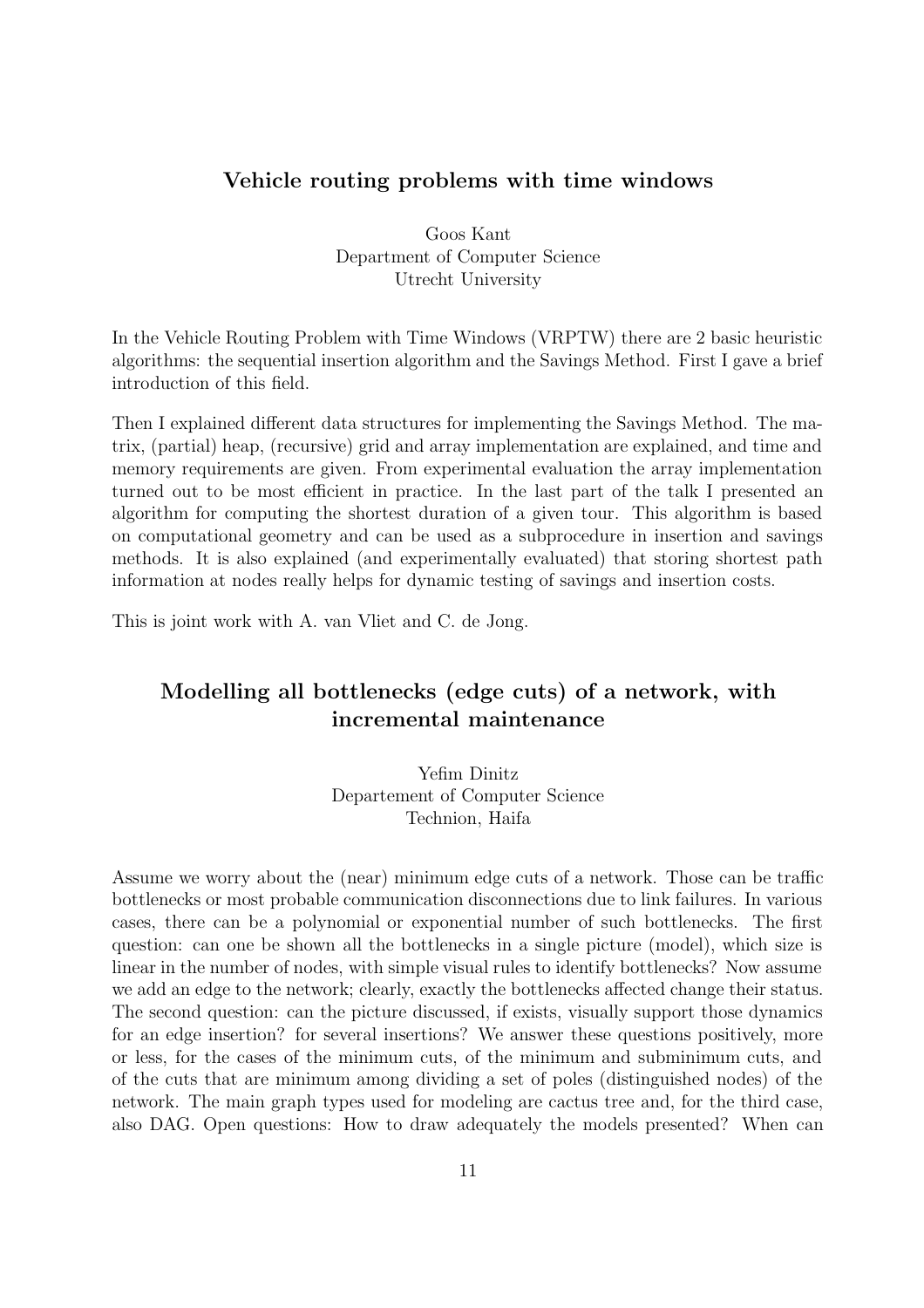## Vehicle routing problems with time windows

Goos Kant Department of Computer Science Utrecht University

In the Vehicle Routing Problem with Time Windows (VRPTW) there are 2 basic heuristic algorithms: the sequential insertion algorithm and the Savings Method. First I gave a brief introduction of this field.

Then I explained different data structures for implementing the Savings Method. The matrix, (partial) heap, (recursive) grid and array implementation are explained, and time and memory requirements are given. From experimental evaluation the array implementation turned out to be most efficient in practice. In the last part of the talk I presented an algorithm for computing the shortest duration of a given tour. This algorithm is based on computational geometry and can be used as a subprocedure in insertion and savings methods. It is also explained (and experimentally evaluated) that storing shortest path information at nodes really helps for dynamic testing of savings and insertion costs.

This is joint work with A. van Vliet and C. de Jong.

# Modelling all bottlenecks (edge cuts) of a network, with incremental maintenance

Yefim Dinitz Departement of Computer Science Technion, Haifa

Assume we worry about the (near) minimum edge cuts of a network. Those can be traffic bottlenecks or most probable communication disconnections due to link failures. In various cases, there can be a polynomial or exponential number of such bottlenecks. The first question: can one be shown all the bottlenecks in a single picture (model), which size is linear in the number of nodes, with simple visual rules to identify bottlenecks? Now assume we add an edge to the network; clearly, exactly the bottlenecks affected change their status. The second question: can the picture discussed, if exists, visually support those dynamics for an edge insertion? for several insertions? We answer these questions positively, more or less, for the cases of the minimum cuts, of the minimum and subminimum cuts, and of the cuts that are minimum among dividing a set of poles (distinguished nodes) of the network. The main graph types used for modeling are cactus tree and, for the third case, also DAG. Open questions: How to draw adequately the models presented? When can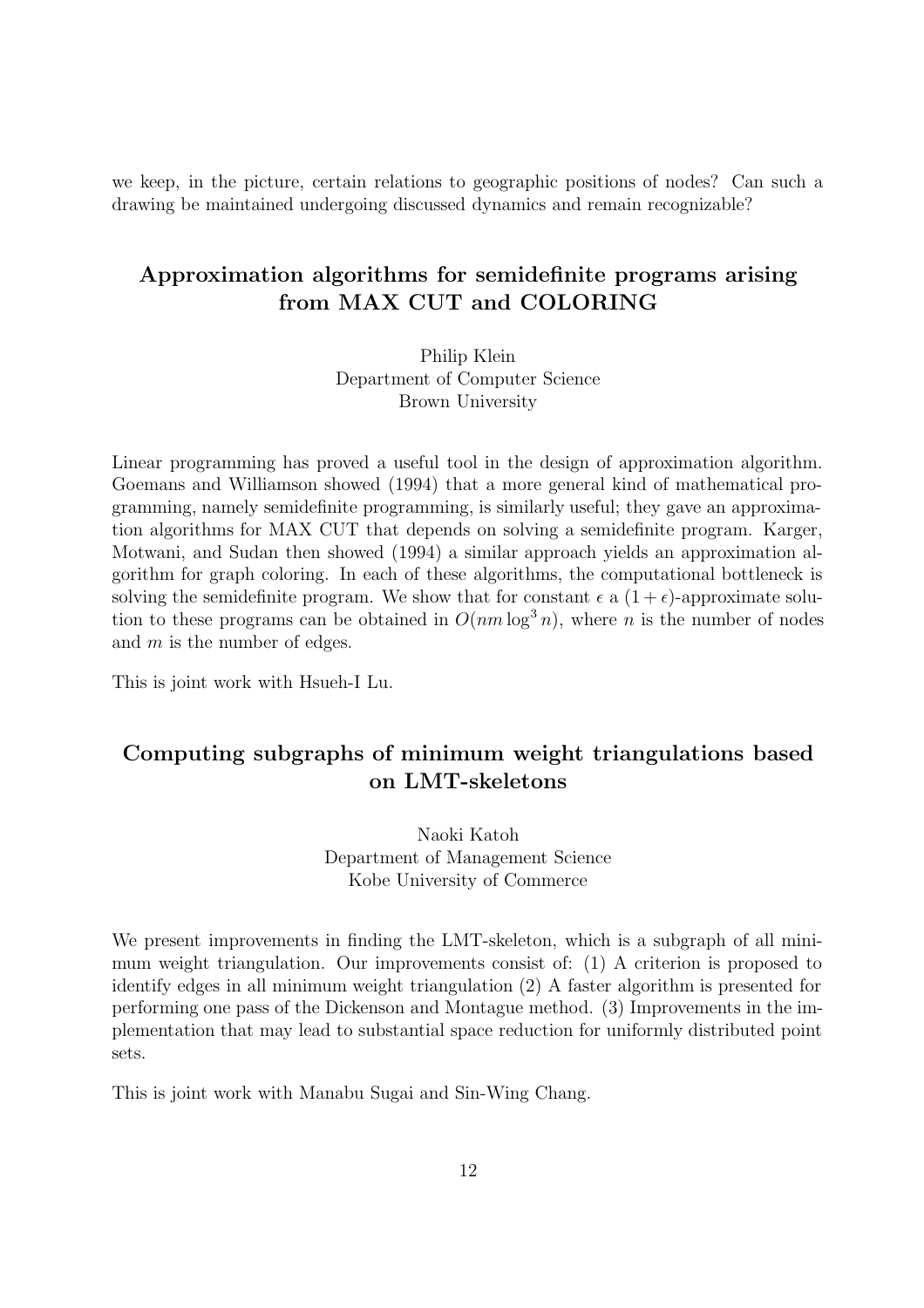we keep, in the picture, certain relations to geographic positions of nodes? Can such a drawing be maintained undergoing discussed dynamics and remain recognizable?

# Approximation algorithms for semidefinite programs arising from MAX CUT and COLORING

Philip Klein Department of Computer Science Brown University

Linear programming has proved a useful tool in the design of approximation algorithm. Goemans and Williamson showed (1994) that a more general kind of mathematical programming, namely semidefinite programming, is similarly useful; they gave an approximation algorithms for MAX CUT that depends on solving a semidefinite program. Karger, Motwani, and Sudan then showed (1994) a similar approach yields an approximation algorithm for graph coloring. In each of these algorithms, the computational bottleneck is solving the semidefinite program. We show that for constant  $\epsilon$  a  $(1 + \epsilon)$ -approximate solution to these programs can be obtained in  $O(nm \log^3 n)$ , where n is the number of nodes and m is the number of edges.

This is joint work with Hsueh-I Lu.

# Computing subgraphs of minimum weight triangulations based on LMT-skeletons

Naoki Katoh Department of Management Science Kobe University of Commerce

We present improvements in finding the LMT-skeleton, which is a subgraph of all minimum weight triangulation. Our improvements consist of: (1) A criterion is proposed to identify edges in all minimum weight triangulation (2) A faster algorithm is presented for performing one pass of the Dickenson and Montague method. (3) Improvements in the implementation that may lead to substantial space reduction for uniformly distributed point sets.

This is joint work with Manabu Sugai and Sin-Wing Chang.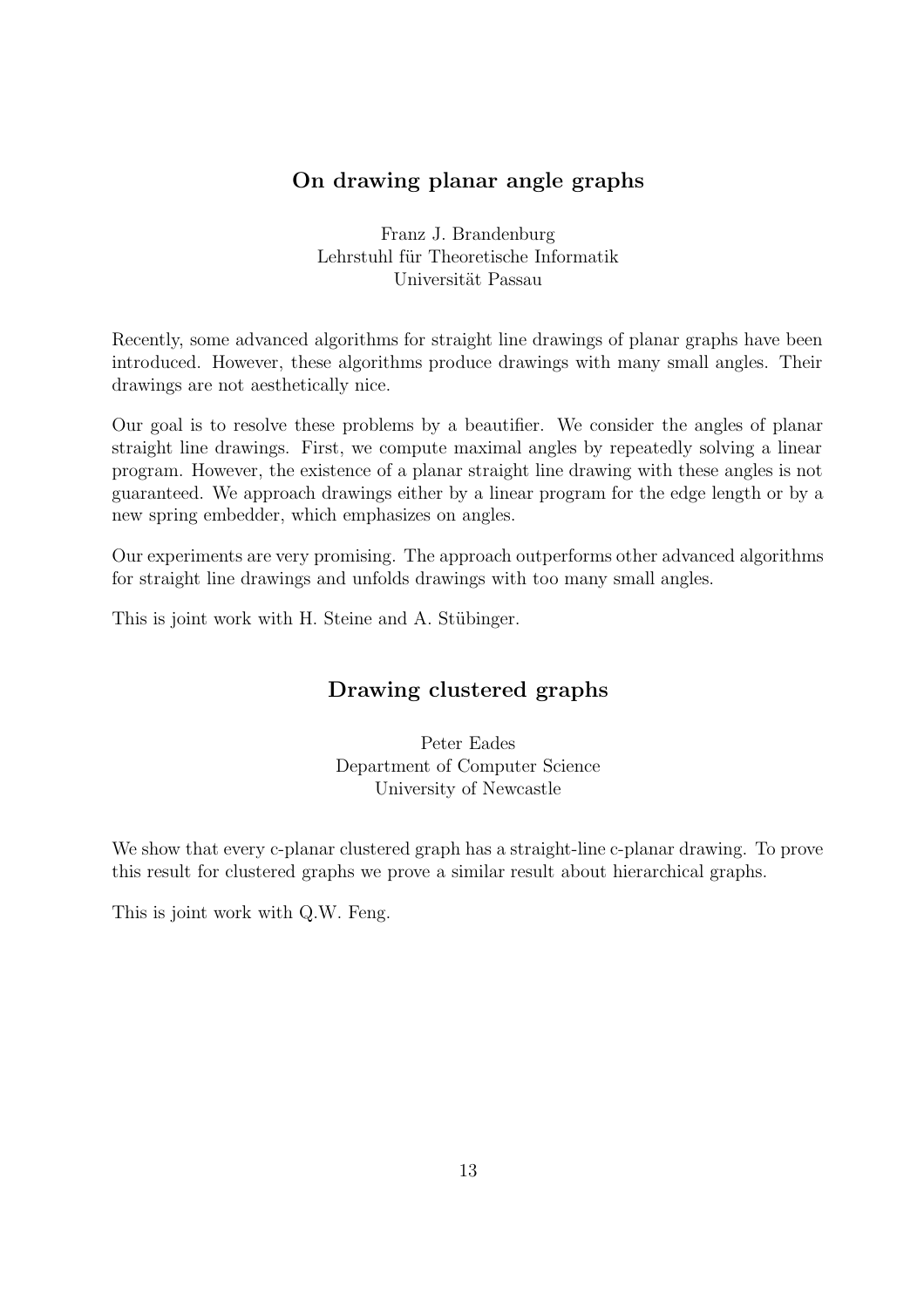# On drawing planar angle graphs

Franz J. Brandenburg Lehrstuhl für Theoretische Informatik Universität Passau

Recently, some advanced algorithms for straight line drawings of planar graphs have been introduced. However, these algorithms produce drawings with many small angles. Their drawings are not aesthetically nice.

Our goal is to resolve these problems by a beautifier. We consider the angles of planar straight line drawings. First, we compute maximal angles by repeatedly solving a linear program. However, the existence of a planar straight line drawing with these angles is not guaranteed. We approach drawings either by a linear program for the edge length or by a new spring embedder, which emphasizes on angles.

Our experiments are very promising. The approach outperforms other advanced algorithms for straight line drawings and unfolds drawings with too many small angles.

This is joint work with H. Steine and A. Stübinger.

# Drawing clustered graphs

Peter Eades Department of Computer Science University of Newcastle

We show that every c-planar clustered graph has a straight-line c-planar drawing. To prove this result for clustered graphs we prove a similar result about hierarchical graphs.

This is joint work with Q.W. Feng.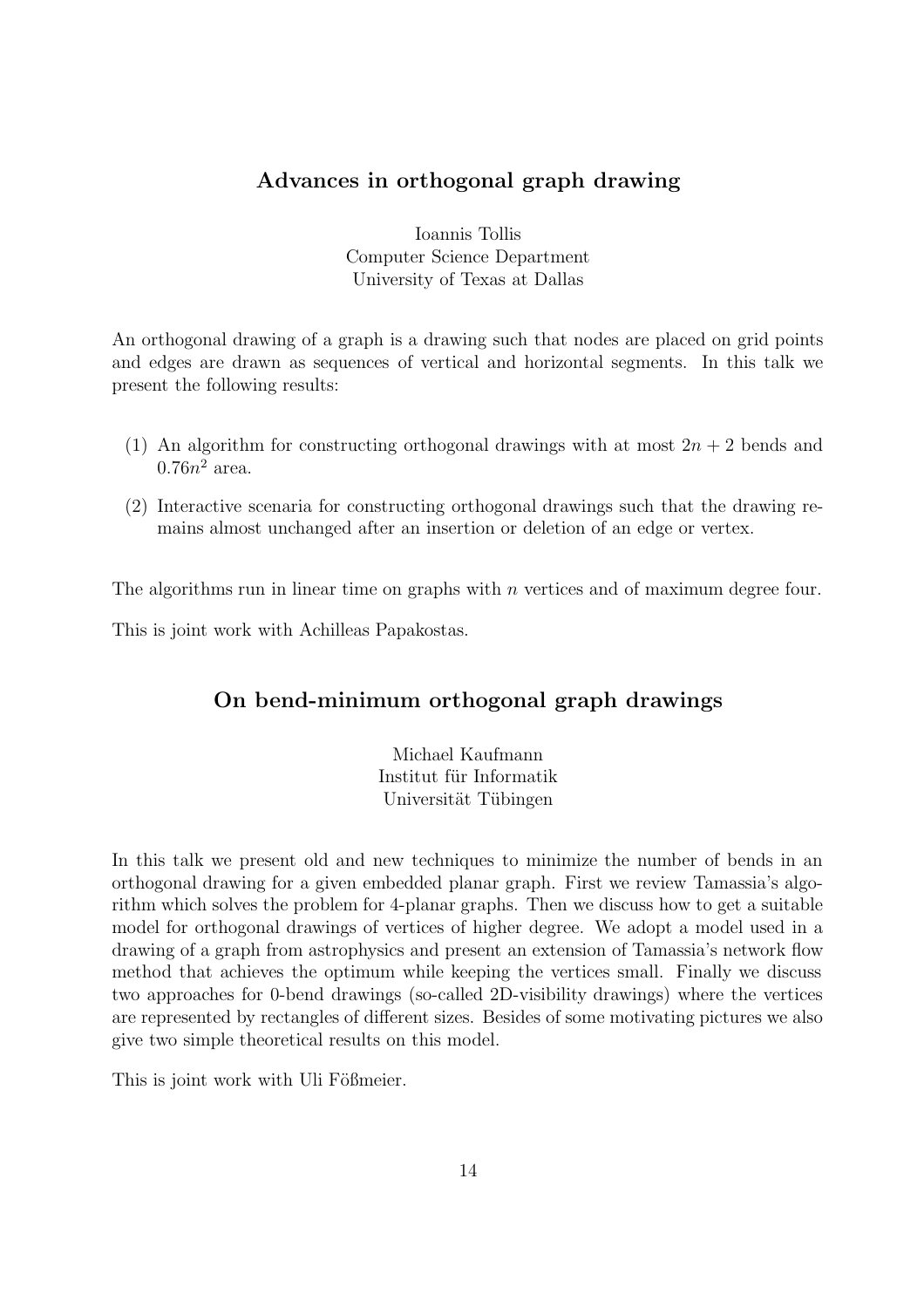# Advances in orthogonal graph drawing

Ioannis Tollis Computer Science Department University of Texas at Dallas

An orthogonal drawing of a graph is a drawing such that nodes are placed on grid points and edges are drawn as sequences of vertical and horizontal segments. In this talk we present the following results:

- (1) An algorithm for constructing orthogonal drawings with at most  $2n + 2$  bends and  $0.76n^2$  area.
- (2) Interactive scenaria for constructing orthogonal drawings such that the drawing remains almost unchanged after an insertion or deletion of an edge or vertex.

The algorithms run in linear time on graphs with  $n$  vertices and of maximum degree four.

This is joint work with Achilleas Papakostas.

# On bend-minimum orthogonal graph drawings

Michael Kaufmann Institut für Informatik Universität Tübingen

In this talk we present old and new techniques to minimize the number of bends in an orthogonal drawing for a given embedded planar graph. First we review Tamassia's algorithm which solves the problem for 4-planar graphs. Then we discuss how to get a suitable model for orthogonal drawings of vertices of higher degree. We adopt a model used in a drawing of a graph from astrophysics and present an extension of Tamassia's network flow method that achieves the optimum while keeping the vertices small. Finally we discuss two approaches for 0-bend drawings (so-called 2D-visibility drawings) where the vertices are represented by rectangles of different sizes. Besides of some motivating pictures we also give two simple theoretical results on this model.

This is joint work with Uli Fößmeier.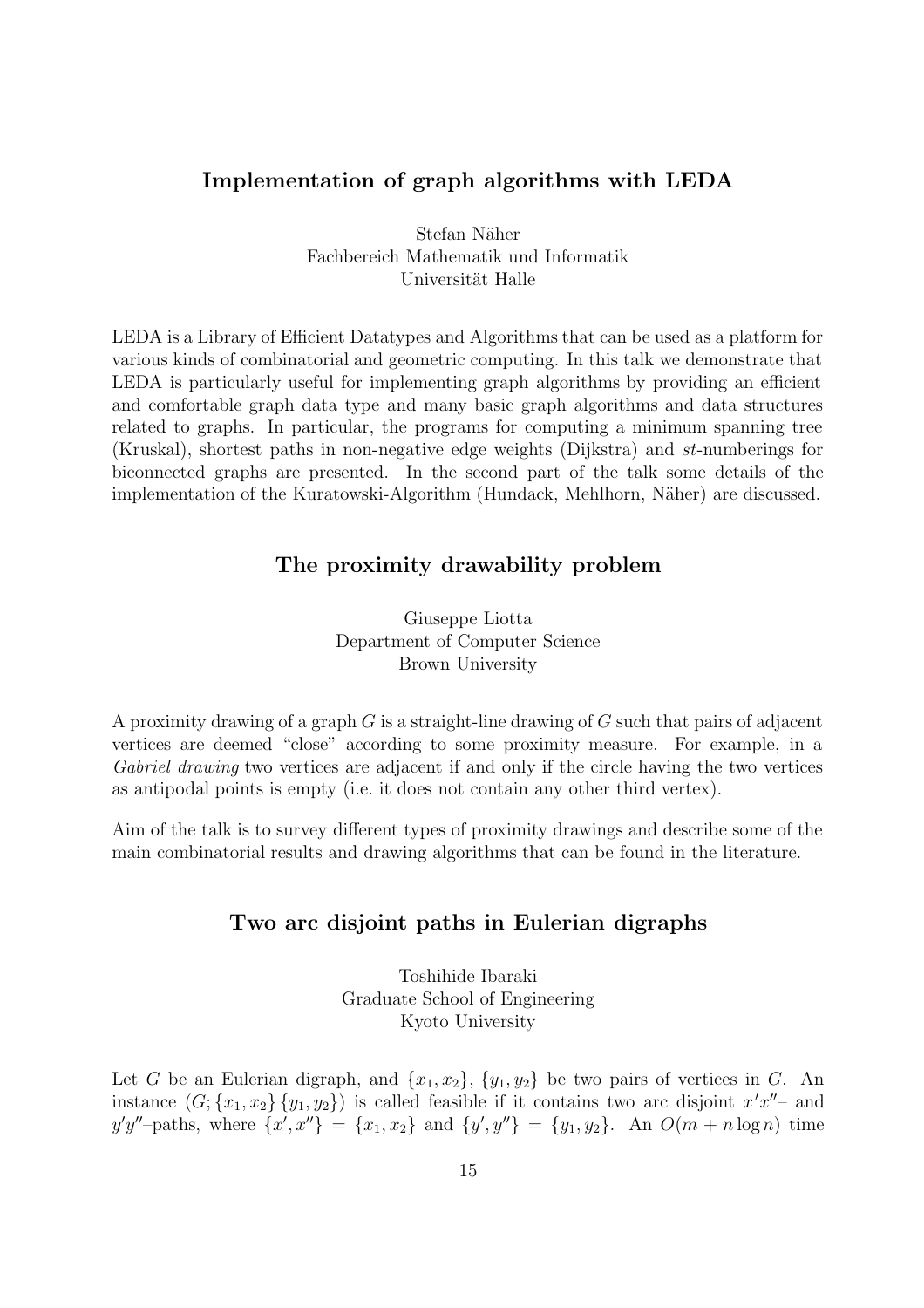## Implementation of graph algorithms with LEDA

Stefan Näher Fachbereich Mathematik und Informatik Universität Halle

LEDA is a Library of Efficient Datatypes and Algorithms that can be used as a platform for various kinds of combinatorial and geometric computing. In this talk we demonstrate that LEDA is particularly useful for implementing graph algorithms by providing an efficient and comfortable graph data type and many basic graph algorithms and data structures related to graphs. In particular, the programs for computing a minimum spanning tree (Kruskal), shortest paths in non-negative edge weights (Dijkstra) and st-numberings for biconnected graphs are presented. In the second part of the talk some details of the implementation of the Kuratowski-Algorithm (Hundack, Mehlhorn, Näher) are discussed.

## The proximity drawability problem

Giuseppe Liotta Department of Computer Science Brown University

A proximity drawing of a graph  $G$  is a straight-line drawing of  $G$  such that pairs of adjacent vertices are deemed "close" according to some proximity measure. For example, in a Gabriel drawing two vertices are adjacent if and only if the circle having the two vertices as antipodal points is empty (i.e. it does not contain any other third vertex).

Aim of the talk is to survey different types of proximity drawings and describe some of the main combinatorial results and drawing algorithms that can be found in the literature.

## Two arc disjoint paths in Eulerian digraphs

Toshihide Ibaraki Graduate School of Engineering Kyoto University

Let G be an Eulerian digraph, and  $\{x_1, x_2\}$ ,  $\{y_1, y_2\}$  be two pairs of vertices in G. An instance  $(G; {x_1, x_2} {y_1, y_2})$  is called feasible if it contains two arc disjoint  $x'x''$ - and  $y'y''$ -paths, where  $\{x', x''\} = \{x_1, x_2\}$  and  $\{y', y''\} = \{y_1, y_2\}$ . An  $O(m + n \log n)$  time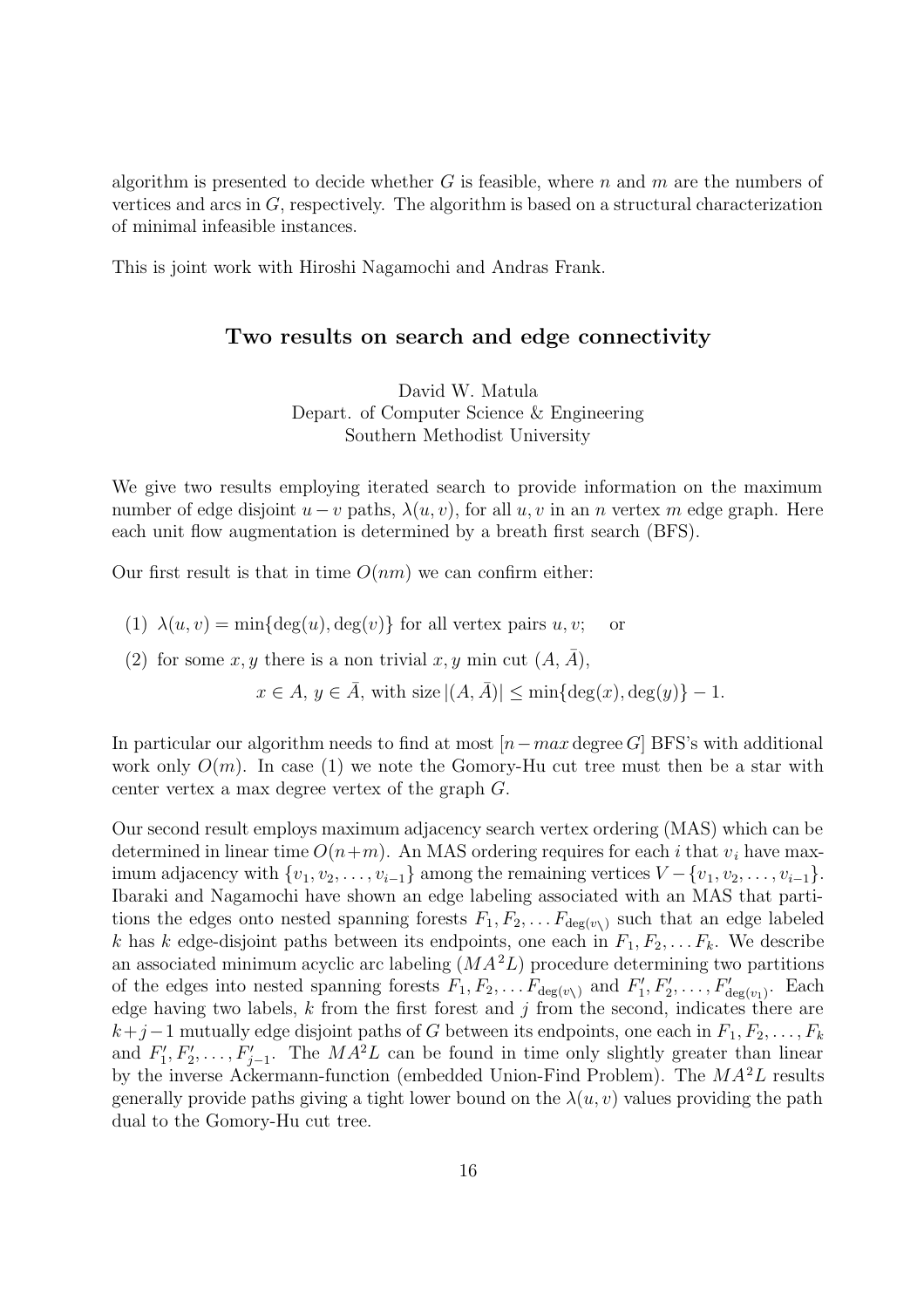algorithm is presented to decide whether G is feasible, where n and  $m$  are the numbers of vertices and arcs in G, respectively. The algorithm is based on a structural characterization of minimal infeasible instances.

This is joint work with Hiroshi Nagamochi and Andras Frank.

## Two results on search and edge connectivity

David W. Matula Depart. of Computer Science & Engineering Southern Methodist University

We give two results employing iterated search to provide information on the maximum number of edge disjoint  $u - v$  paths,  $\lambda(u, v)$ , for all  $u, v$  in an n vertex m edge graph. Here each unit flow augmentation is determined by a breath first search (BFS).

Our first result is that in time  $O(nm)$  we can confirm either:

- (1)  $\lambda(u, v) = \min\{\deg(u), \deg(v)\}\$ for all vertex pairs  $u, v;$  or
- (2) for some x, y there is a non trivial x, y min cut  $(A, \overline{A})$ ,

 $x \in A$ ,  $y \in \overline{A}$ , with size  $|(A, \overline{A})| \le \min\{\deg(x), \deg(y)\} - 1$ .

In particular our algorithm needs to find at most  $[n-max$  degree G BFS's with additional work only  $O(m)$ . In case (1) we note the Gomory-Hu cut tree must then be a star with center vertex a max degree vertex of the graph G.

Our second result employs maximum adjacency search vertex ordering (MAS) which can be determined in linear time  $O(n+m)$ . An MAS ordering requires for each i that  $v_i$  have maximum adjacency with  $\{v_1, v_2, \ldots, v_{i-1}\}\$ among the remaining vertices  $V - \{v_1, v_2, \ldots, v_{i-1}\}\$ . Ibaraki and Nagamochi have shown an edge labeling associated with an MAS that partitions the edges onto nested spanning forests  $F_1, F_2, \ldots F_{\deg(v_\lambda)}$  such that an edge labeled k has k edge-disjoint paths between its endpoints, one each in  $F_1, F_2, \ldots F_k$ . We describe an associated minimum acyclic arc labeling  $(MA<sup>2</sup>L)$  procedure determining two partitions of the edges into nested spanning forests  $F_1, F_2, \ldots F_{\deg(v)}$  and  $F'_1, F'_2, \ldots, F'_{\deg(v_1)}$ . Each edge having two labels,  $k$  from the first forest and  $j$  from the second, indicates there are  $k+j-1$  mutually edge disjoint paths of G between its endpoints, one each in  $F_1, F_2, \ldots, F_k$ and  $F'_1, F'_2, \ldots, F'_{j-1}$ . The  $MA^2L$  can be found in time only slightly greater than linear by the inverse Ackermann-function (embedded Union-Find Problem). The  $MA^2L$  results generally provide paths giving a tight lower bound on the  $\lambda(u, v)$  values providing the path dual to the Gomory-Hu cut tree.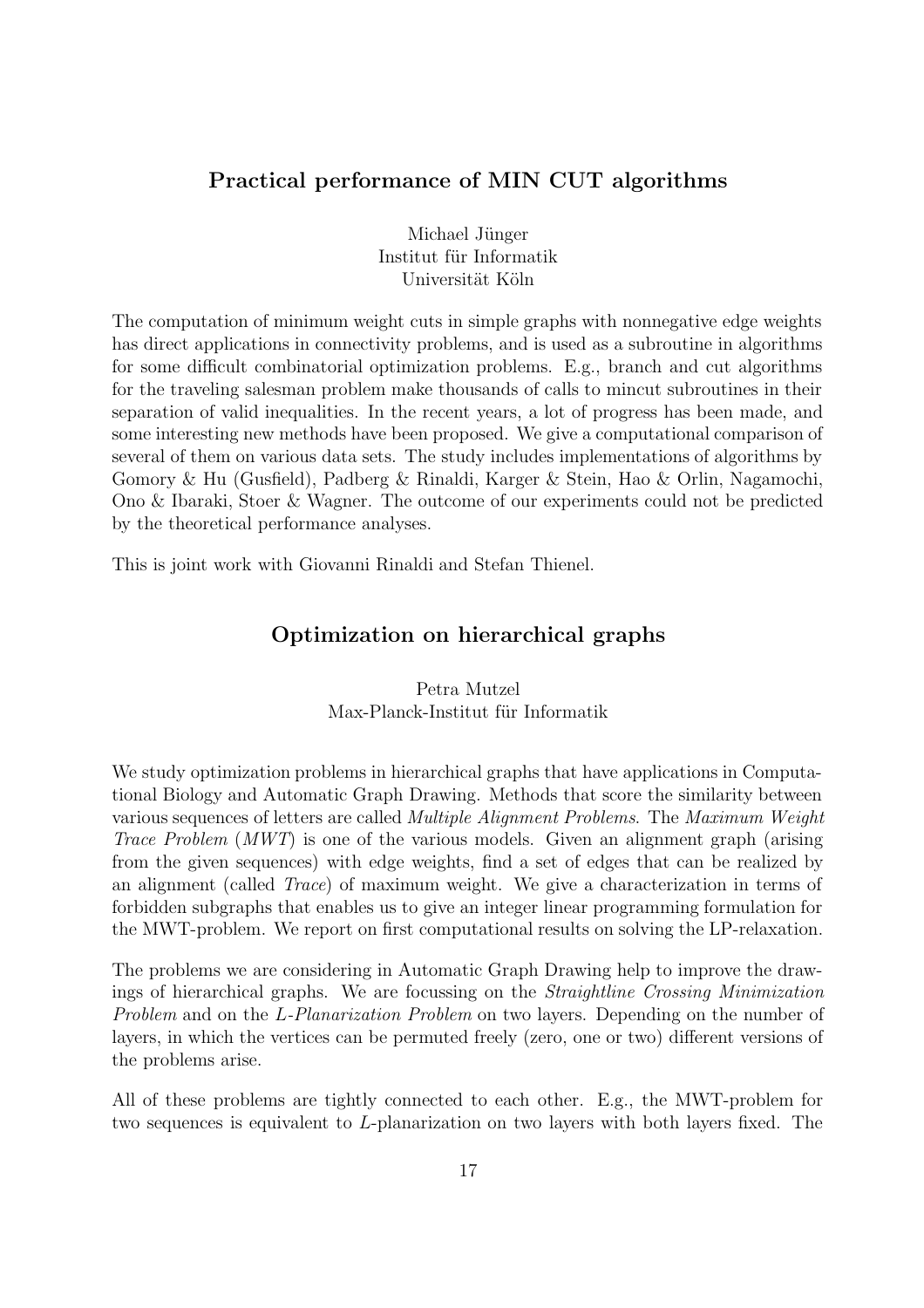## Practical performance of MIN CUT algorithms

Michael Jünger Institut für Informatik Universität Köln

The computation of minimum weight cuts in simple graphs with nonnegative edge weights has direct applications in connectivity problems, and is used as a subroutine in algorithms for some difficult combinatorial optimization problems. E.g., branch and cut algorithms for the traveling salesman problem make thousands of calls to mincut subroutines in their separation of valid inequalities. In the recent years, a lot of progress has been made, and some interesting new methods have been proposed. We give a computational comparison of several of them on various data sets. The study includes implementations of algorithms by Gomory & Hu (Gusfield), Padberg & Rinaldi, Karger & Stein, Hao & Orlin, Nagamochi, Ono & Ibaraki, Stoer & Wagner. The outcome of our experiments could not be predicted by the theoretical performance analyses.

This is joint work with Giovanni Rinaldi and Stefan Thienel.

## Optimization on hierarchical graphs

## Petra Mutzel Max-Planck-Institut für Informatik

We study optimization problems in hierarchical graphs that have applications in Computational Biology and Automatic Graph Drawing. Methods that score the similarity between various sequences of letters are called Multiple Alignment Problems. The Maximum Weight Trace Problem (MWT) is one of the various models. Given an alignment graph (arising from the given sequences) with edge weights, find a set of edges that can be realized by an alignment (called Trace) of maximum weight. We give a characterization in terms of forbidden subgraphs that enables us to give an integer linear programming formulation for the MWT-problem. We report on first computational results on solving the LP-relaxation.

The problems we are considering in Automatic Graph Drawing help to improve the drawings of hierarchical graphs. We are focussing on the Straightline Crossing Minimization Problem and on the L-Planarization Problem on two layers. Depending on the number of layers, in which the vertices can be permuted freely (zero, one or two) different versions of the problems arise.

All of these problems are tightly connected to each other. E.g., the MWT-problem for two sequences is equivalent to L-planarization on two layers with both layers fixed. The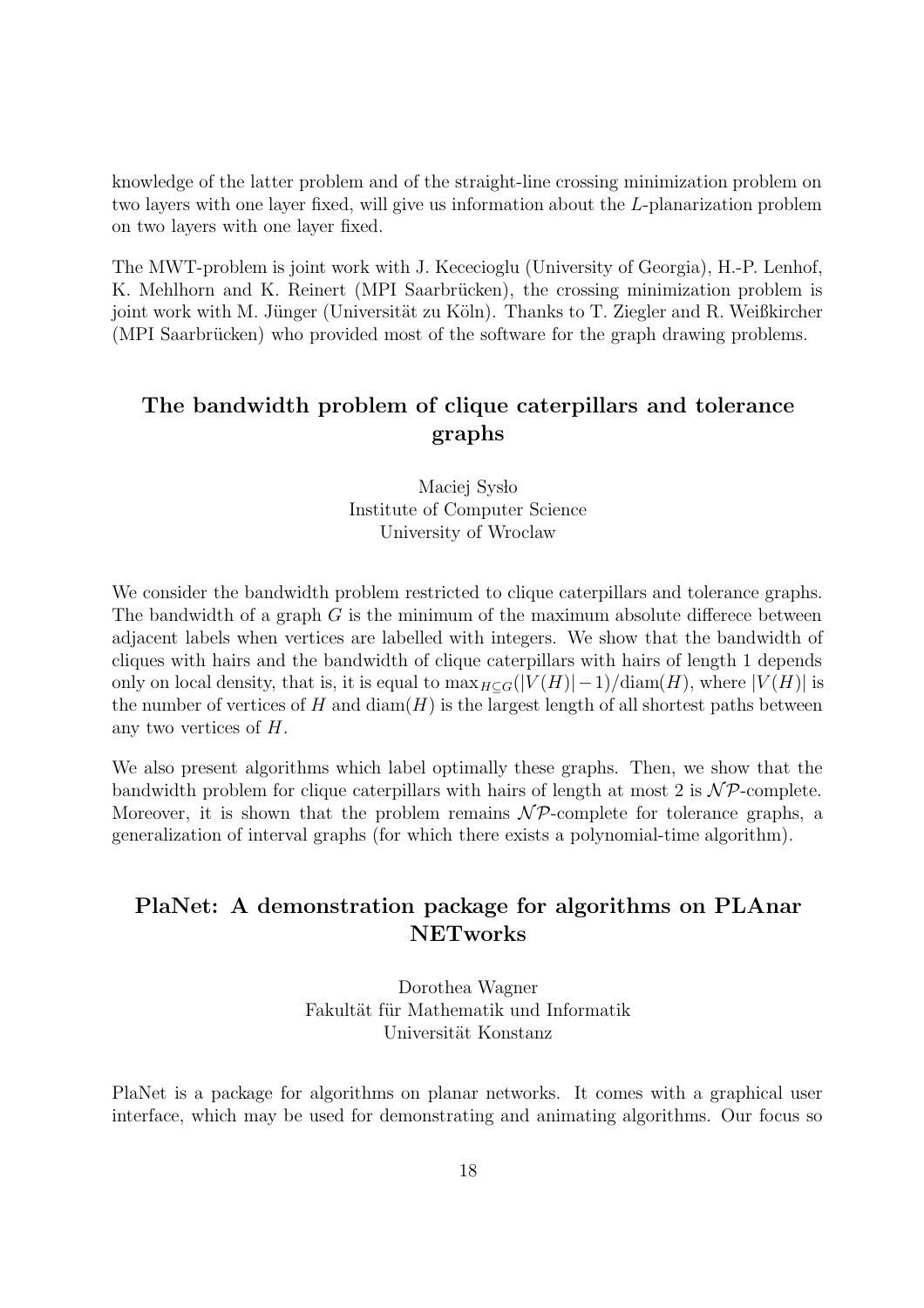knowledge of the latter problem and of the straight-line crossing minimization problem on two layers with one layer fixed, will give us information about the L-planarization problem on two layers with one layer fixed.

The MWT-problem is joint work with J. Kececioglu (University of Georgia), H.-P. Lenhof, K. Mehlhorn and K. Reinert (MPI Saarbrücken), the crossing minimization problem is joint work with M. Jünger (Universität zu Köln). Thanks to T. Ziegler and R. Weißkircher (MPI Saarbrücken) who provided most of the software for the graph drawing problems.

# The bandwidth problem of clique caterpillars and tolerance graphs

Maciej Sysło Institute of Computer Science University of Wroclaw

We consider the bandwidth problem restricted to clique caterpillars and tolerance graphs. The bandwidth of a graph  $G$  is the minimum of the maximum absolute differece between adjacent labels when vertices are labelled with integers. We show that the bandwidth of cliques with hairs and the bandwidth of clique caterpillars with hairs of length 1 depends only on local density, that is, it is equal to  $\max_{H\subseteq G}(|V(H)|-1)/\text{diam}(H)$ , where  $|V(H)|$  is the number of vertices of H and  $\text{diam}(H)$  is the largest length of all shortest paths between any two vertices of H.

We also present algorithms which label optimally these graphs. Then, we show that the bandwidth problem for clique caterpillars with hairs of length at most 2 is  $\mathcal{NP}$ -complete. Moreover, it is shown that the problem remains  $\mathcal{NP}$ -complete for tolerance graphs, a generalization of interval graphs (for which there exists a polynomial-time algorithm).

# PlaNet: A demonstration package for algorithms on PLAnar NETworks

Dorothea Wagner Fakultät für Mathematik und Informatik Universität Konstanz

PlaNet is a package for algorithms on planar networks. It comes with a graphical user interface, which may be used for demonstrating and animating algorithms. Our focus so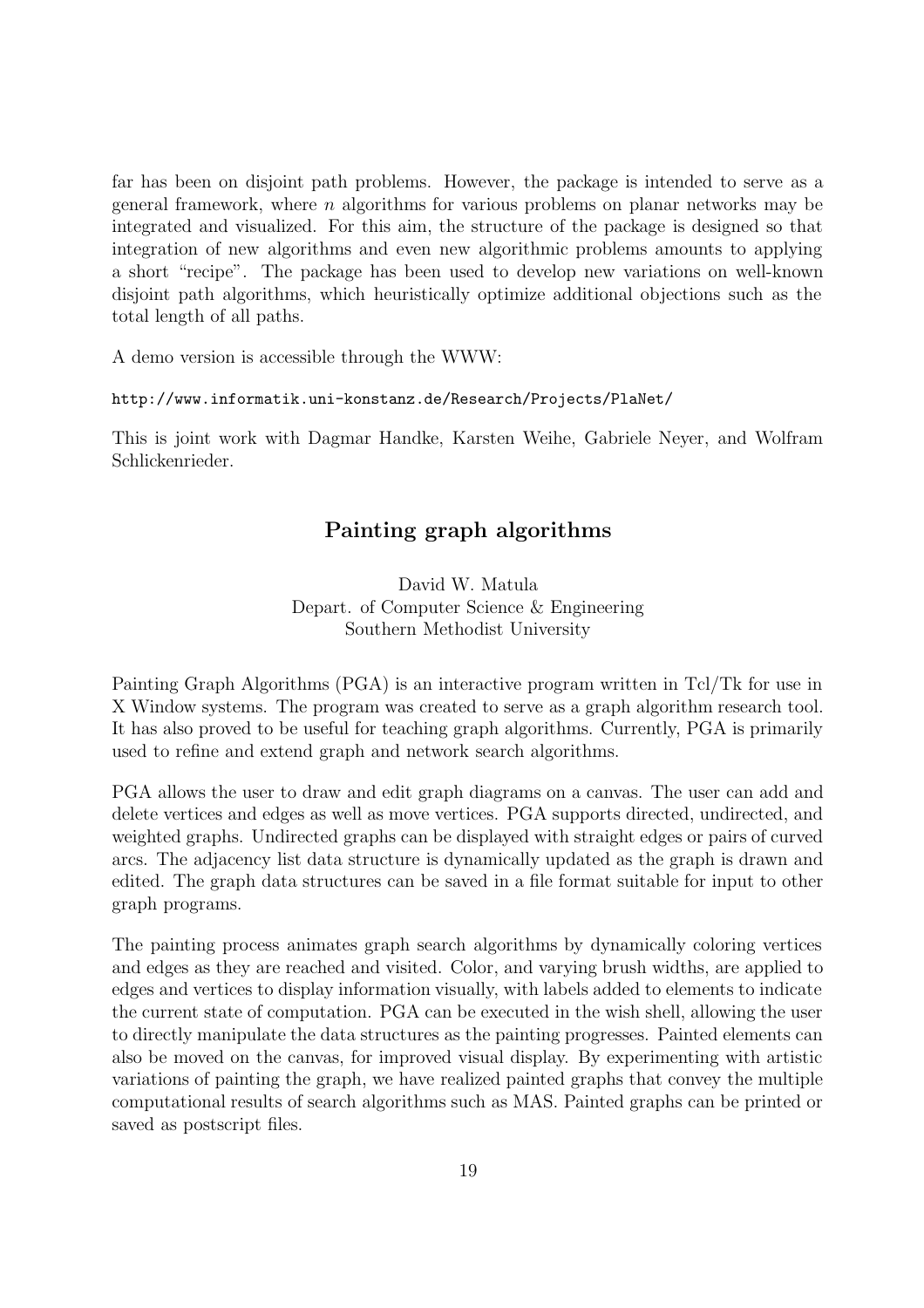far has been on disjoint path problems. However, the package is intended to serve as a general framework, where  $n$  algorithms for various problems on planar networks may be integrated and visualized. For this aim, the structure of the package is designed so that integration of new algorithms and even new algorithmic problems amounts to applying a short "recipe". The package has been used to develop new variations on well-known disjoint path algorithms, which heuristically optimize additional objections such as the total length of all paths.

A demo version is accessible through the WWW:

#### http://www.informatik.uni-konstanz.de/Research/Projects/PlaNet/

This is joint work with Dagmar Handke, Karsten Weihe, Gabriele Neyer, and Wolfram Schlickenrieder.

## Painting graph algorithms

David W. Matula Depart. of Computer Science & Engineering Southern Methodist University

Painting Graph Algorithms (PGA) is an interactive program written in Tcl/Tk for use in X Window systems. The program was created to serve as a graph algorithm research tool. It has also proved to be useful for teaching graph algorithms. Currently, PGA is primarily used to refine and extend graph and network search algorithms.

PGA allows the user to draw and edit graph diagrams on a canvas. The user can add and delete vertices and edges as well as move vertices. PGA supports directed, undirected, and weighted graphs. Undirected graphs can be displayed with straight edges or pairs of curved arcs. The adjacency list data structure is dynamically updated as the graph is drawn and edited. The graph data structures can be saved in a file format suitable for input to other graph programs.

The painting process animates graph search algorithms by dynamically coloring vertices and edges as they are reached and visited. Color, and varying brush widths, are applied to edges and vertices to display information visually, with labels added to elements to indicate the current state of computation. PGA can be executed in the wish shell, allowing the user to directly manipulate the data structures as the painting progresses. Painted elements can also be moved on the canvas, for improved visual display. By experimenting with artistic variations of painting the graph, we have realized painted graphs that convey the multiple computational results of search algorithms such as MAS. Painted graphs can be printed or saved as postscript files.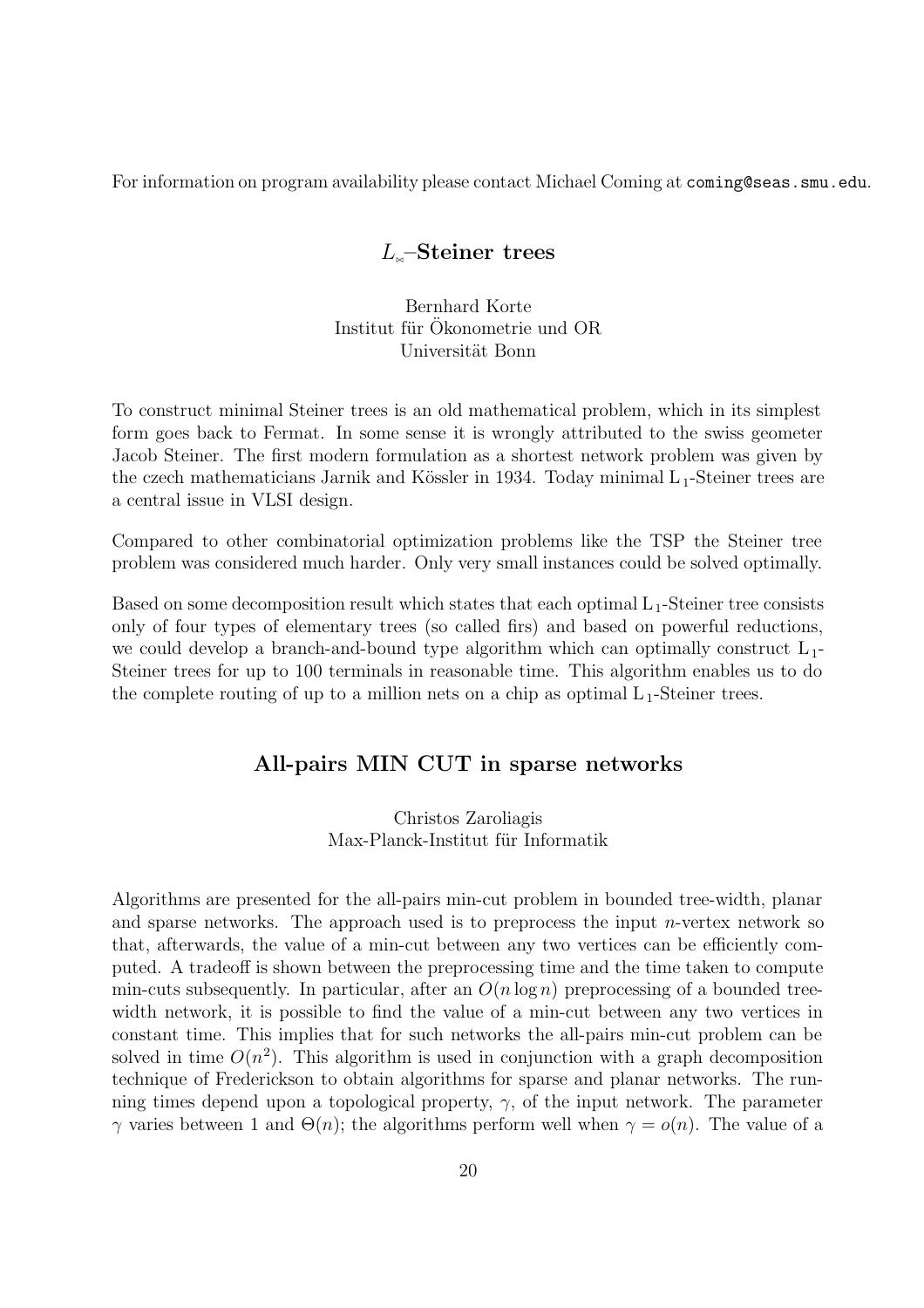For information on program availability please contact Michael Coming at coming@seas.smu.edu.

## $L_{\ast}$ –Steiner trees

Bernhard Korte Institut für Ökonometrie und OR Universität Bonn

To construct minimal Steiner trees is an old mathematical problem, which in its simplest form goes back to Fermat. In some sense it is wrongly attributed to the swiss geometer Jacob Steiner. The first modern formulation as a shortest network problem was given by the czech mathematicians Jarnik and Kössler in 1934. Today minimal  $L_1$ -Steiner trees are a central issue in VLSI design.

Compared to other combinatorial optimization problems like the TSP the Steiner tree problem was considered much harder. Only very small instances could be solved optimally.

Based on some decomposition result which states that each optimal  $L_1$ -Steiner tree consists only of four types of elementary trees (so called firs) and based on powerful reductions, we could develop a branch-and-bound type algorithm which can optimally construct  $L_1$ -Steiner trees for up to 100 terminals in reasonable time. This algorithm enables us to do the complete routing of up to a million nets on a chip as optimal  $L_1$ -Steiner trees.

## All-pairs MIN CUT in sparse networks

Christos Zaroliagis Max-Planck-Institut für Informatik

Algorithms are presented for the all-pairs min-cut problem in bounded tree-width, planar and sparse networks. The approach used is to preprocess the input  $n$ -vertex network so that, afterwards, the value of a min-cut between any two vertices can be efficiently computed. A tradeoff is shown between the preprocessing time and the time taken to compute min-cuts subsequently. In particular, after an  $O(n \log n)$  preprocessing of a bounded treewidth network, it is possible to find the value of a min-cut between any two vertices in constant time. This implies that for such networks the all-pairs min-cut problem can be solved in time  $O(n^2)$ . This algorithm is used in conjunction with a graph decomposition technique of Frederickson to obtain algorithms for sparse and planar networks. The running times depend upon a topological property,  $\gamma$ , of the input network. The parameter  $γ$  varies between 1 and  $Θ(n)$ ; the algorithms perform well when  $γ = o(n)$ . The value of a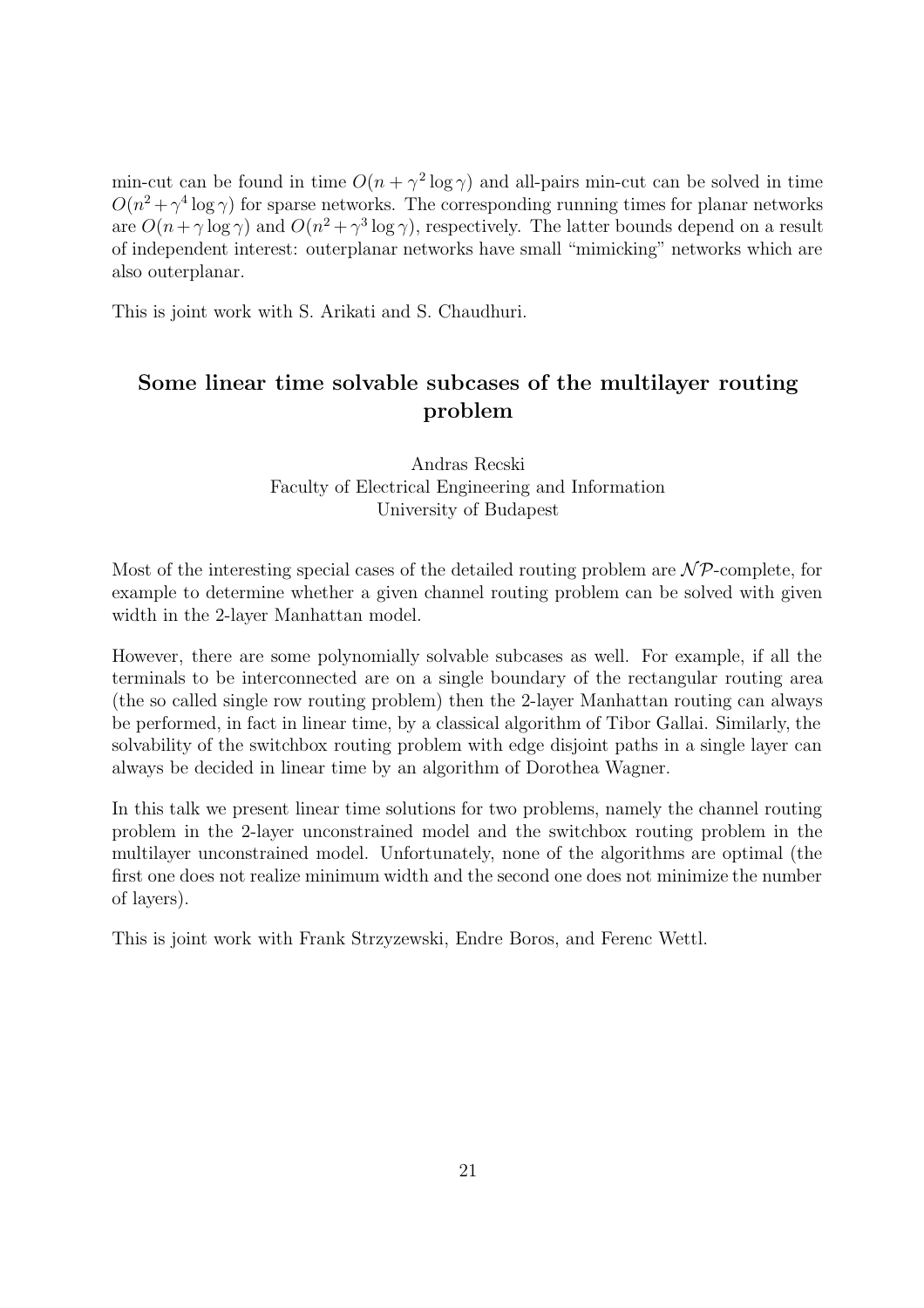min-cut can be found in time  $O(n + \gamma^2 \log \gamma)$  and all-pairs min-cut can be solved in time  $O(n^2 + \gamma^4 \log \gamma)$  for sparse networks. The corresponding running times for planar networks are  $O(n + \gamma \log \gamma)$  and  $O(n^2 + \gamma^3 \log \gamma)$ , respectively. The latter bounds depend on a result of independent interest: outerplanar networks have small "mimicking" networks which are also outerplanar.

This is joint work with S. Arikati and S. Chaudhuri.

# Some linear time solvable subcases of the multilayer routing problem

## Andras Recski Faculty of Electrical Engineering and Information University of Budapest

Most of the interesting special cases of the detailed routing problem are  $\mathcal{NP}$ -complete, for example to determine whether a given channel routing problem can be solved with given width in the 2-layer Manhattan model.

However, there are some polynomially solvable subcases as well. For example, if all the terminals to be interconnected are on a single boundary of the rectangular routing area (the so called single row routing problem) then the 2-layer Manhattan routing can always be performed, in fact in linear time, by a classical algorithm of Tibor Gallai. Similarly, the solvability of the switchbox routing problem with edge disjoint paths in a single layer can always be decided in linear time by an algorithm of Dorothea Wagner.

In this talk we present linear time solutions for two problems, namely the channel routing problem in the 2-layer unconstrained model and the switchbox routing problem in the multilayer unconstrained model. Unfortunately, none of the algorithms are optimal (the first one does not realize minimum width and the second one does not minimize the number of layers).

This is joint work with Frank Strzyzewski, Endre Boros, and Ferenc Wettl.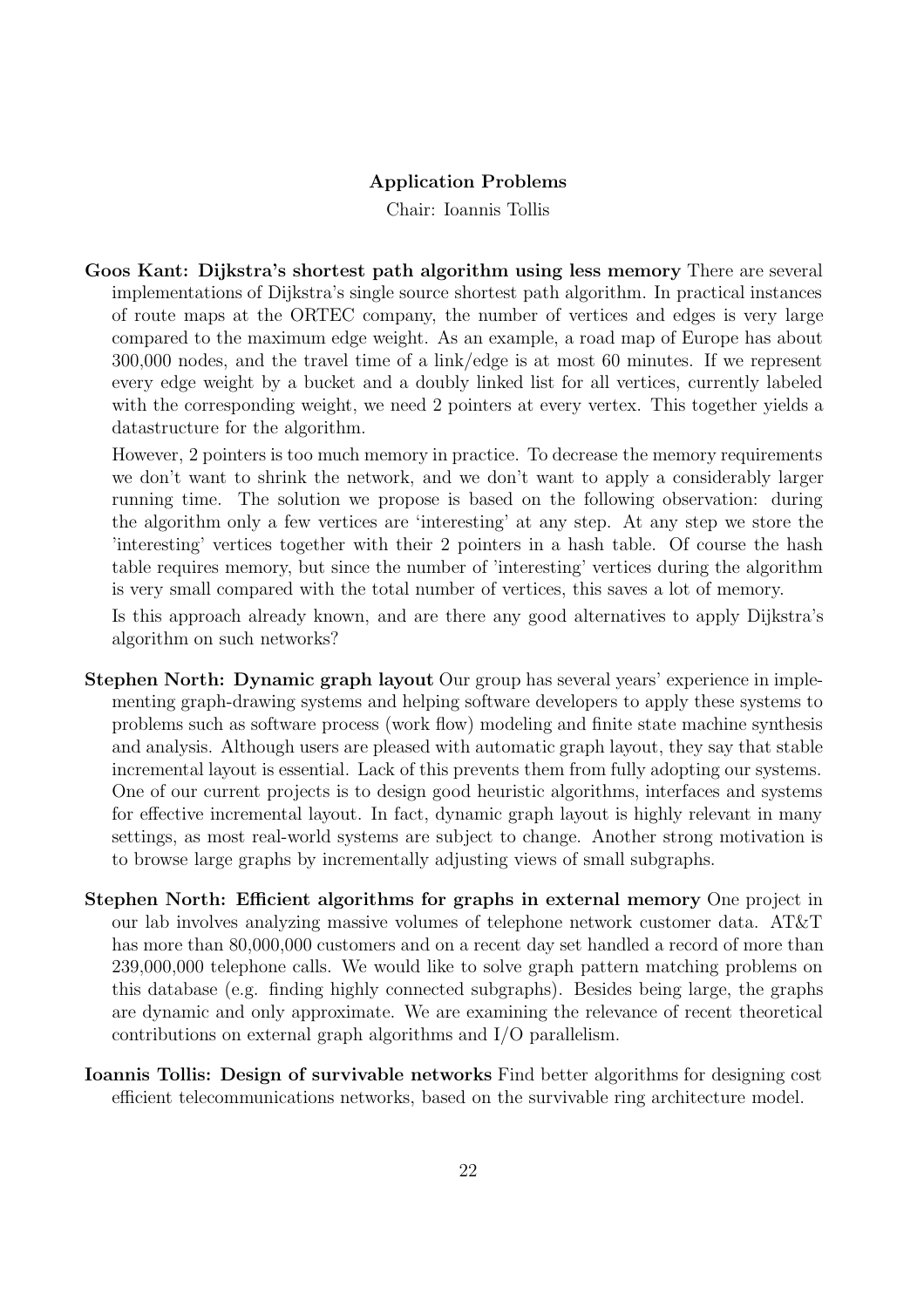### Application Problems

Chair: Ioannis Tollis

Goos Kant: Dijkstra's shortest path algorithm using less memory There are several implementations of Dijkstra's single source shortest path algorithm. In practical instances of route maps at the ORTEC company, the number of vertices and edges is very large compared to the maximum edge weight. As an example, a road map of Europe has about 300,000 nodes, and the travel time of a link/edge is at most 60 minutes. If we represent every edge weight by a bucket and a doubly linked list for all vertices, currently labeled with the corresponding weight, we need 2 pointers at every vertex. This together yields a datastructure for the algorithm.

However, 2 pointers is too much memory in practice. To decrease the memory requirements we don't want to shrink the network, and we don't want to apply a considerably larger running time. The solution we propose is based on the following observation: during the algorithm only a few vertices are 'interesting' at any step. At any step we store the 'interesting' vertices together with their 2 pointers in a hash table. Of course the hash table requires memory, but since the number of 'interesting' vertices during the algorithm is very small compared with the total number of vertices, this saves a lot of memory.

Is this approach already known, and are there any good alternatives to apply Dijkstra's algorithm on such networks?

- Stephen North: Dynamic graph layout Our group has several years' experience in implementing graph-drawing systems and helping software developers to apply these systems to problems such as software process (work flow) modeling and finite state machine synthesis and analysis. Although users are pleased with automatic graph layout, they say that stable incremental layout is essential. Lack of this prevents them from fully adopting our systems. One of our current projects is to design good heuristic algorithms, interfaces and systems for effective incremental layout. In fact, dynamic graph layout is highly relevant in many settings, as most real-world systems are subject to change. Another strong motivation is to browse large graphs by incrementally adjusting views of small subgraphs.
- Stephen North: Efficient algorithms for graphs in external memory One project in our lab involves analyzing massive volumes of telephone network customer data. AT&T has more than  $80,000,000$  customers and on a recent day set handled a record of more than 239,000,000 telephone calls. We would like to solve graph pattern matching problems on this database (e.g. finding highly connected subgraphs). Besides being large, the graphs are dynamic and only approximate. We are examining the relevance of recent theoretical contributions on external graph algorithms and I/O parallelism.
- Ioannis Tollis: Design of survivable networks Find better algorithms for designing cost efficient telecommunications networks, based on the survivable ring architecture model.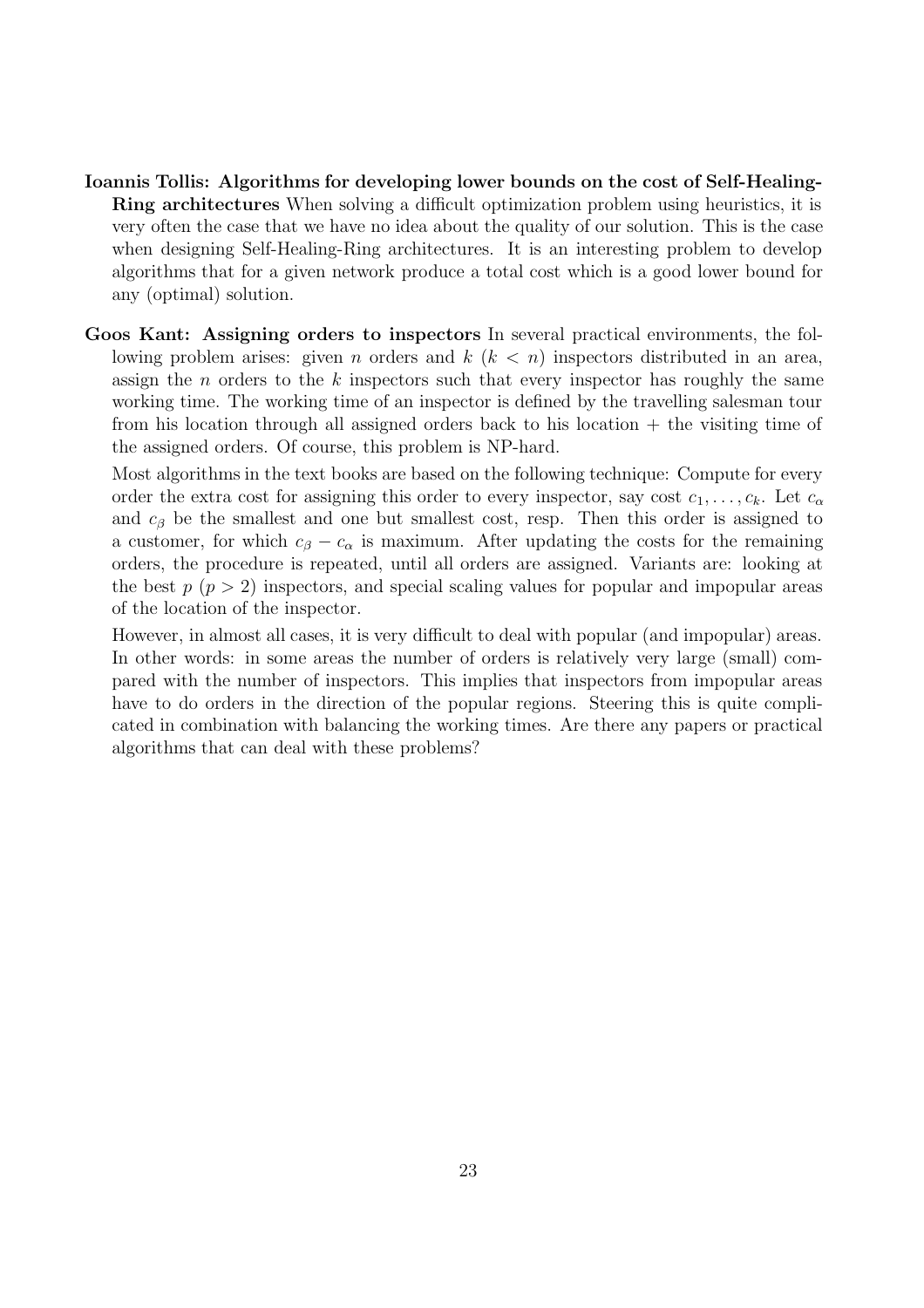- Ioannis Tollis: Algorithms for developing lower bounds on the cost of Self-Healing-Ring architectures When solving a difficult optimization problem using heuristics, it is very often the case that we have no idea about the quality of our solution. This is the case when designing Self-Healing-Ring architectures. It is an interesting problem to develop algorithms that for a given network produce a total cost which is a good lower bound for any (optimal) solution.
- Goos Kant: Assigning orders to inspectors In several practical environments, the following problem arises: given *n* orders and  $k$  ( $k < n$ ) inspectors distributed in an area, assign the  $n$  orders to the  $k$  inspectors such that every inspector has roughly the same working time. The working time of an inspector is defined by the travelling salesman tour from his location through all assigned orders back to his location + the visiting time of the assigned orders. Of course, this problem is NP-hard.

Most algorithms in the text books are based on the following technique: Compute for every order the extra cost for assigning this order to every inspector, say cost  $c_1, \ldots, c_k$ . Let  $c_{\alpha}$ and  $c<sub>β</sub>$  be the smallest and one but smallest cost, resp. Then this order is assigned to a customer, for which  $c_{\beta} - c_{\alpha}$  is maximum. After updating the costs for the remaining orders, the procedure is repeated, until all orders are assigned. Variants are: looking at the best  $p (p > 2)$  inspectors, and special scaling values for popular and impopular areas of the location of the inspector.

However, in almost all cases, it is very difficult to deal with popular (and impopular) areas. In other words: in some areas the number of orders is relatively very large (small) compared with the number of inspectors. This implies that inspectors from impopular areas have to do orders in the direction of the popular regions. Steering this is quite complicated in combination with balancing the working times. Are there any papers or practical algorithms that can deal with these problems?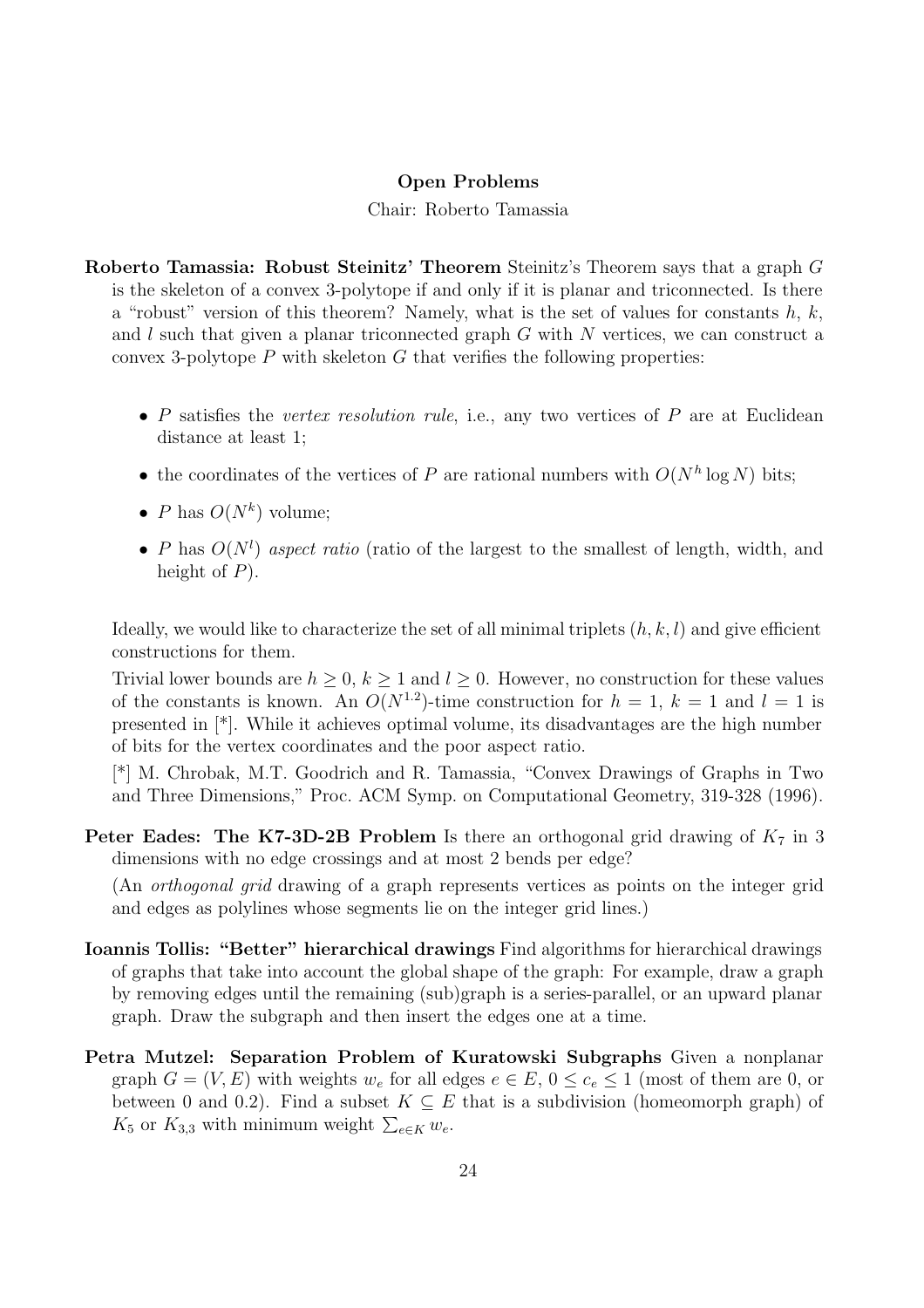#### Open Problems

#### Chair: Roberto Tamassia

Roberto Tamassia: Robust Steinitz' Theorem Steinitz's Theorem says that a graph G is the skeleton of a convex 3-polytope if and only if it is planar and triconnected. Is there a "robust" version of this theorem? Namely, what is the set of values for constants  $h, k$ , and  $l$  such that given a planar triconnected graph  $G$  with  $N$  vertices, we can construct a convex 3-polytope  $P$  with skeleton  $G$  that verifies the following properties:

- P satisfies the vertex resolution rule, i.e., any two vertices of  $P$  are at Euclidean distance at least 1;
- the coordinates of the vertices of P are rational numbers with  $O(N^h \log N)$  bits;
- P has  $O(N^k)$  volume;
- P has  $O(N^l)$  aspect ratio (ratio of the largest to the smallest of length, width, and height of  $P$ ).

Ideally, we would like to characterize the set of all minimal triplets  $(h, k, l)$  and give efficient constructions for them.

Trivial lower bounds are  $h > 0$ ,  $k > 1$  and  $l > 0$ . However, no construction for these values of the constants is known. An  $O(N^{1.2})$ -time construction for  $h = 1, k = 1$  and  $l = 1$  is presented in [\*]. While it achieves optimal volume, its disadvantages are the high number of bits for the vertex coordinates and the poor aspect ratio.

[\*] M. Chrobak, M.T. Goodrich and R. Tamassia, "Convex Drawings of Graphs in Two and Three Dimensions," Proc. ACM Symp. on Computational Geometry, 319-328 (1996).

**Peter Eades: The K7-3D-2B Problem** Is there an orthogonal grid drawing of  $K_7$  in 3 dimensions with no edge crossings and at most 2 bends per edge?

(An orthogonal grid drawing of a graph represents vertices as points on the integer grid and edges as polylines whose segments lie on the integer grid lines.)

- Ioannis Tollis: "Better" hierarchical drawings Find algorithms for hierarchical drawings of graphs that take into account the global shape of the graph: For example, draw a graph by removing edges until the remaining (sub)graph is a series-parallel, or an upward planar graph. Draw the subgraph and then insert the edges one at a time.
- Petra Mutzel: Separation Problem of Kuratowski Subgraphs Given a nonplanar graph  $G = (V, E)$  with weights  $w_e$  for all edges  $e \in E$ ,  $0 \le c_e \le 1$  (most of them are 0, or between 0 and 0.2). Find a subset  $K \subseteq E$  that is a subdivision (homeomorph graph) of  $K_5$  or  $K_{3,3}$  with minimum weight  $\sum_{e \in K} w_e$ .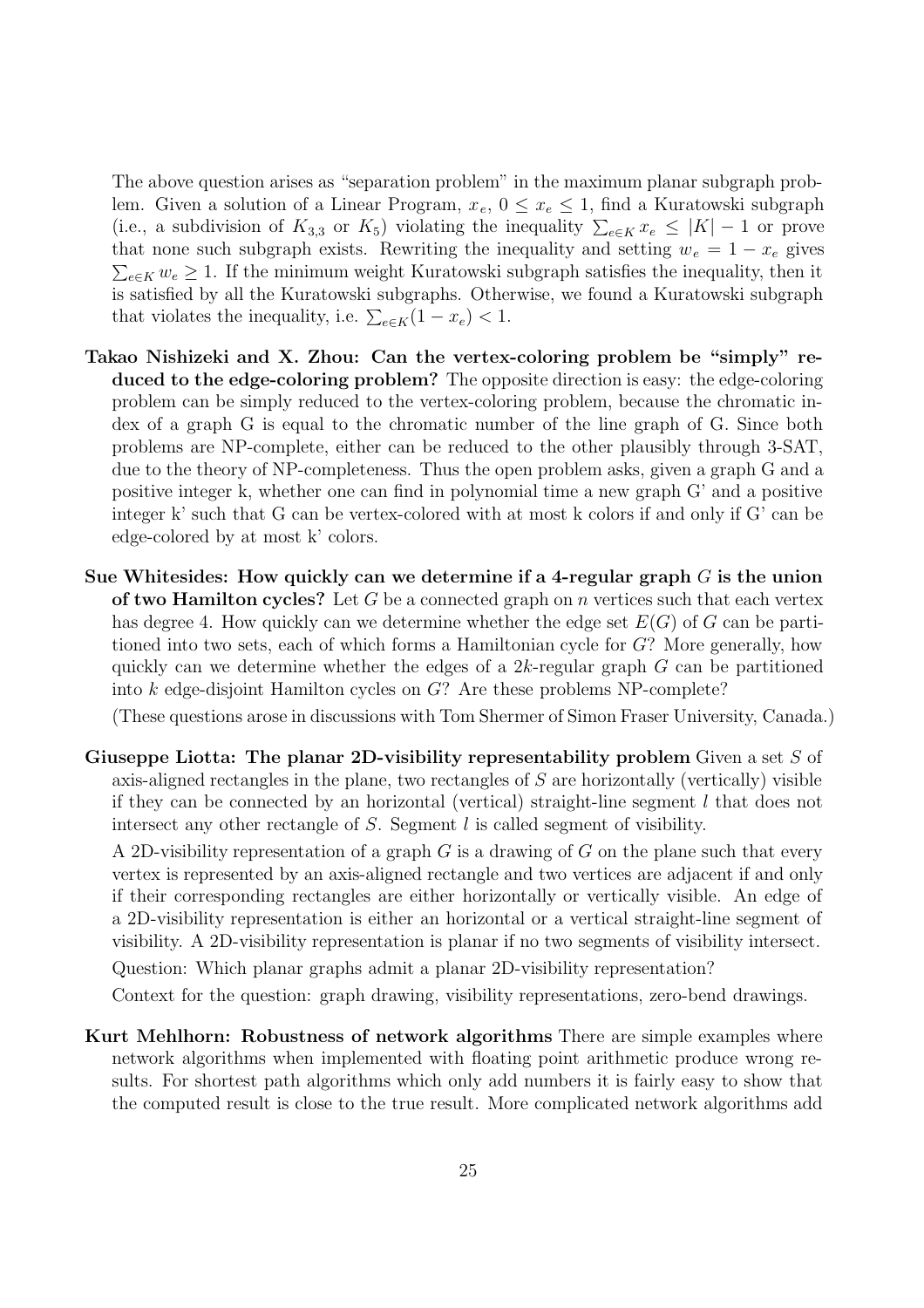The above question arises as "separation problem" in the maximum planar subgraph problem. Given a solution of a Linear Program,  $x_e$ ,  $0 \le x_e \le 1$ , find a Kuratowski subgraph (i.e., a subdivision of  $K_{3,3}$  or  $K_5$ ) violating the inequality  $\sum_{e \in K} x_e \leq |K| - 1$  or prove that none such subgraph exists. Rewriting the inequality and setting  $w_e = 1 - x_e$  gives  $\sum_{e \in K} w_e \geq 1$ . If the minimum weight Kuratowski subgraph satisfies the inequality, then it is satisfied by all the Kuratowski subgraphs. Otherwise, we found a Kuratowski subgraph that violates the inequality, i.e.  $\sum_{e \in K} (1 - x_e) < 1$ .

- Takao Nishizeki and X. Zhou: Can the vertex-coloring problem be "simply" reduced to the edge-coloring problem? The opposite direction is easy: the edge-coloring problem can be simply reduced to the vertex-coloring problem, because the chromatic index of a graph G is equal to the chromatic number of the line graph of G. Since both problems are NP-complete, either can be reduced to the other plausibly through 3-SAT, due to the theory of NP-completeness. Thus the open problem asks, given a graph G and a positive integer k, whether one can find in polynomial time a new graph G' and a positive integer k' such that G can be vertex-colored with at most k colors if and only if G' can be edge-colored by at most k' colors.
- Sue Whitesides: How quickly can we determine if a 4-regular graph  $G$  is the union of two Hamilton cycles? Let G be a connected graph on n vertices such that each vertex has degree 4. How quickly can we determine whether the edge set  $E(G)$  of G can be partitioned into two sets, each of which forms a Hamiltonian cycle for G? More generally, how quickly can we determine whether the edges of a  $2k$ -regular graph  $G$  can be partitioned into k edge-disjoint Hamilton cycles on G? Are these problems NP-complete?

(These questions arose in discussions with Tom Shermer of Simon Fraser University, Canada.)

Giuseppe Liotta: The planar 2D-visibility representability problem Given a set S of axis-aligned rectangles in the plane, two rectangles of S are horizontally (vertically) visible if they can be connected by an horizontal (vertical) straight-line segment l that does not intersect any other rectangle of  $S$ . Segment  $l$  is called segment of visibility.

A 2D-visibility representation of a graph  $G$  is a drawing of  $G$  on the plane such that every vertex is represented by an axis-aligned rectangle and two vertices are adjacent if and only if their corresponding rectangles are either horizontally or vertically visible. An edge of a 2D-visibility representation is either an horizontal or a vertical straight-line segment of visibility. A 2D-visibility representation is planar if no two segments of visibility intersect.

Question: Which planar graphs admit a planar 2D-visibility representation?

Context for the question: graph drawing, visibility representations, zero-bend drawings.

Kurt Mehlhorn: Robustness of network algorithms There are simple examples where network algorithms when implemented with floating point arithmetic produce wrong results. For shortest path algorithms which only add numbers it is fairly easy to show that the computed result is close to the true result. More complicated network algorithms add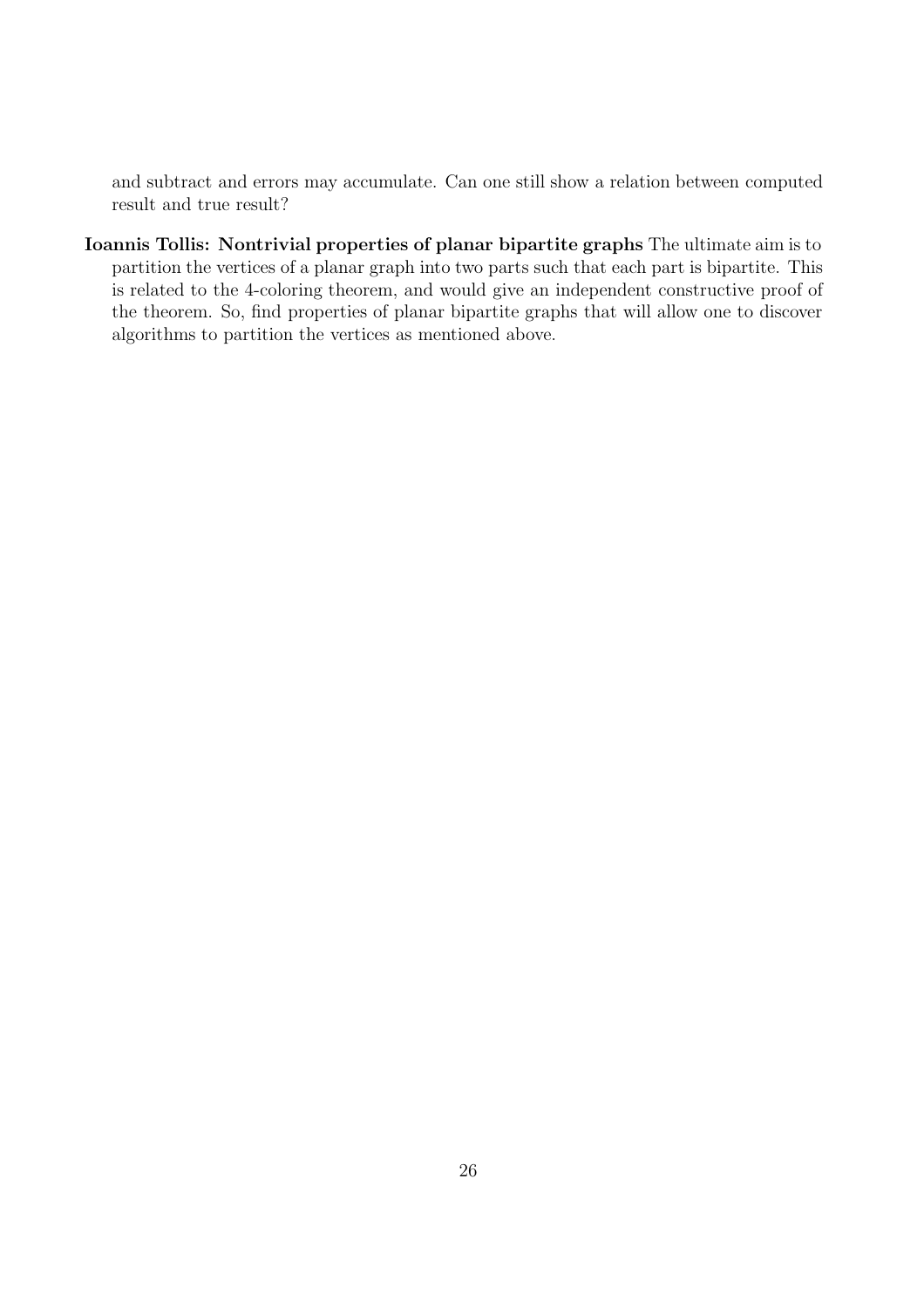and subtract and errors may accumulate. Can one still show a relation between computed result and true result?

Ioannis Tollis: Nontrivial properties of planar bipartite graphs The ultimate aim is to partition the vertices of a planar graph into two parts such that each part is bipartite. This is related to the 4-coloring theorem, and would give an independent constructive proof of the theorem. So, find properties of planar bipartite graphs that will allow one to discover algorithms to partition the vertices as mentioned above.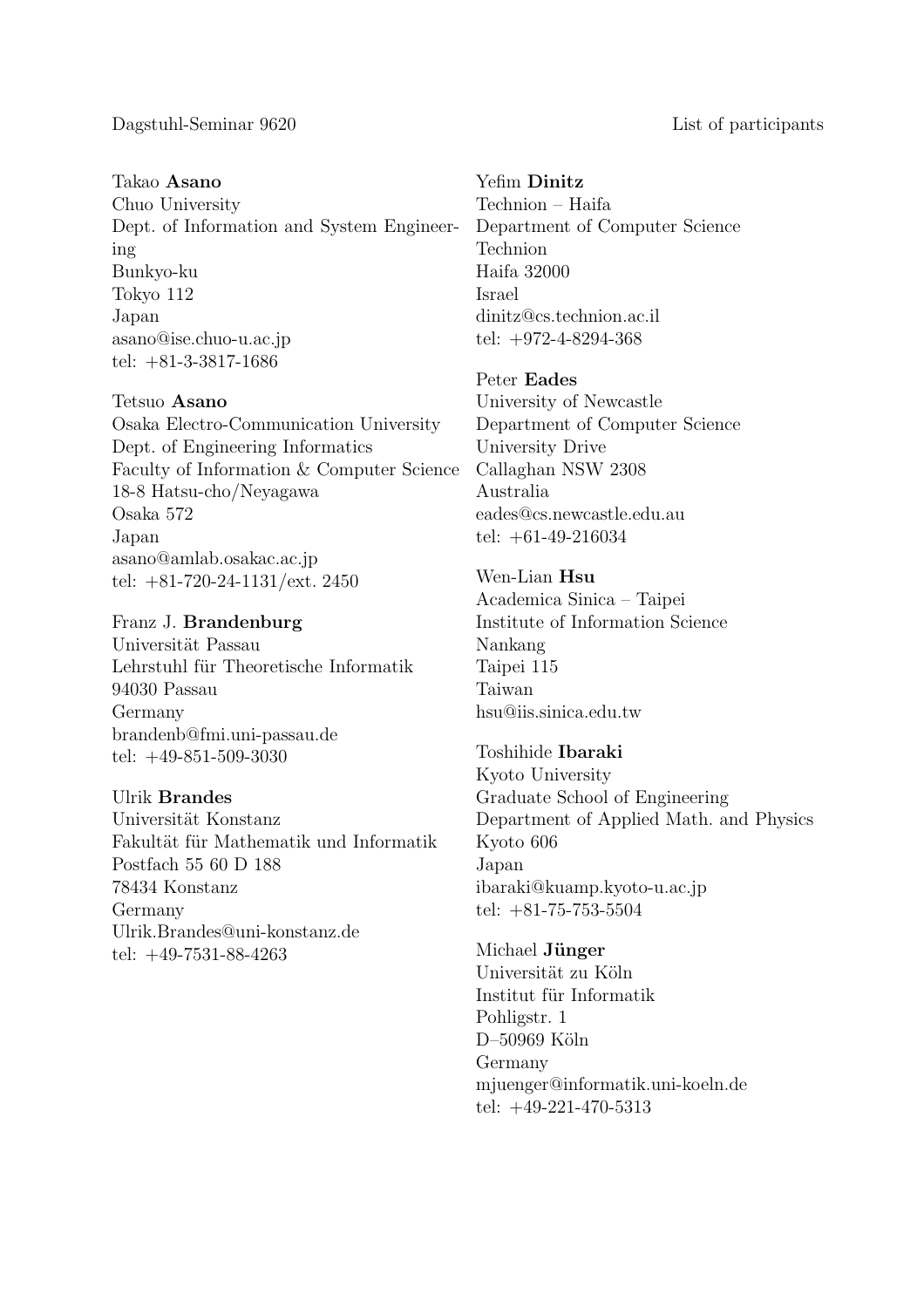Takao Asano

Chuo University Dept. of Information and System Engineering Bunkyo-ku Tokyo 112 Japan asano@ise.chuo-u.ac.jp tel: +81-3-3817-1686

Tetsuo Asano

Osaka Electro-Communication University Dept. of Engineering Informatics Faculty of Information & Computer Science 18-8 Hatsu-cho/Neyagawa Osaka 572 Japan asano@amlab.osakac.ac.jp tel: +81-720-24-1131/ext. 2450

Franz J. Brandenburg Universität Passau Lehrstuhl für Theoretische Informatik 94030 Passau Germany brandenb@fmi.uni-passau.de tel: +49-851-509-3030

### Ulrik Brandes

Universität Konstanz Fakultät für Mathematik und Informatik Postfach 55 60 D 188 78434 Konstanz Germany Ulrik.Brandes@uni-konstanz.de tel: +49-7531-88-4263

### Yefim Dinitz

Technion – Haifa Department of Computer Science Technion Haifa 32000 Israel dinitz@cs.technion.ac.il tel: +972-4-8294-368

Peter Eades

University of Newcastle Department of Computer Science University Drive Callaghan NSW 2308 Australia eades@cs.newcastle.edu.au tel: +61-49-216034

Wen-Lian Hsu Academica Sinica – Taipei Institute of Information Science Nankang Taipei 115 Taiwan hsu@iis.sinica.edu.tw

Toshihide Ibaraki Kyoto University Graduate School of Engineering Department of Applied Math. and Physics Kyoto 606 Japan ibaraki@kuamp.kyoto-u.ac.jp tel: +81-75-753-5504

Michael Jünger Universität zu Köln Institut für Informatik Pohligstr. 1 D-50969 Köln Germany mjuenger@informatik.uni-koeln.de tel: +49-221-470-5313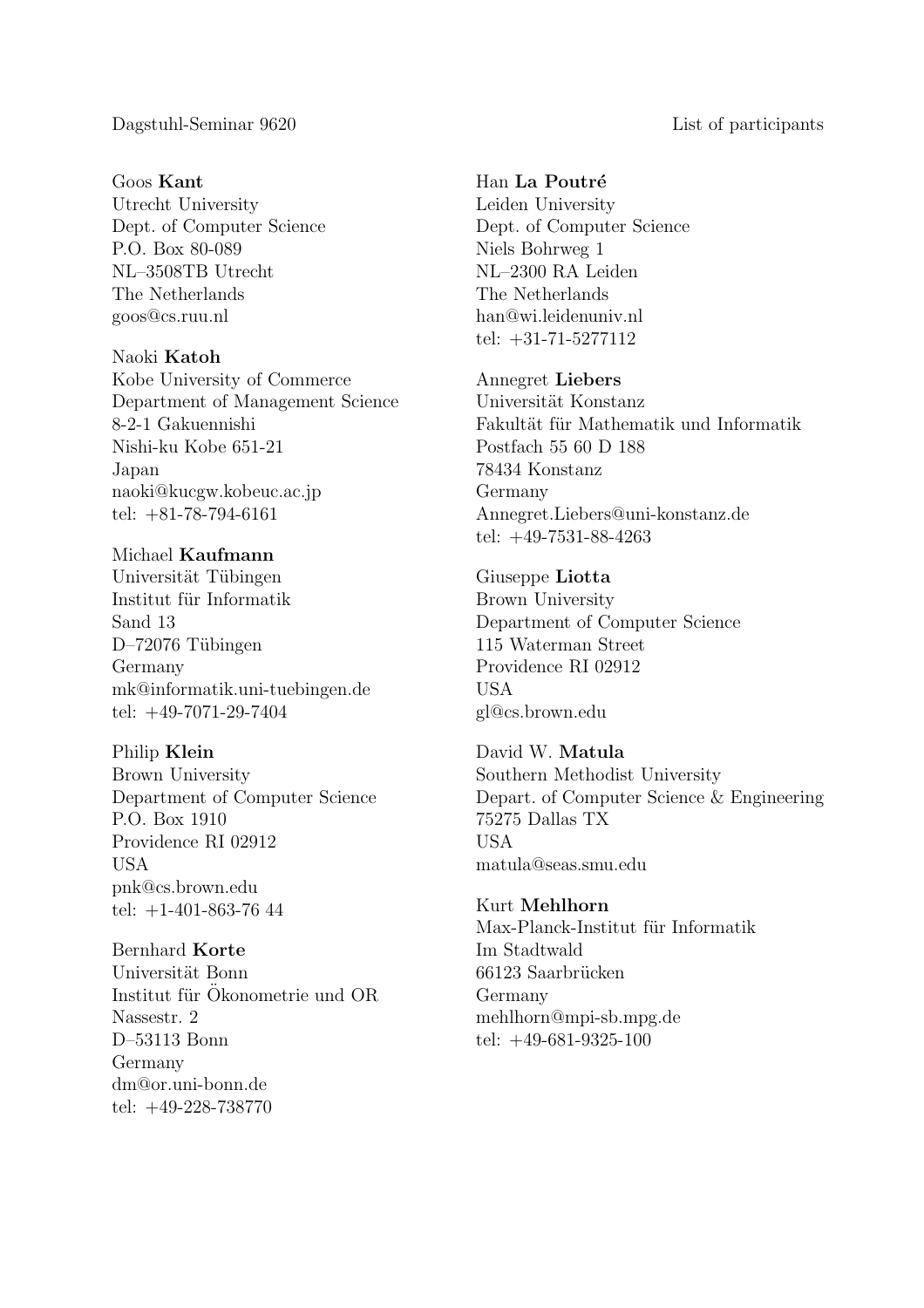#### Goos Kant

Utrecht University Dept. of Computer Science P.O. Box 80-089 NL–3508TB Utrecht The Netherlands goos@cs.ruu.nl

### Naoki Katoh

Kobe University of Commerce Department of Management Science 8-2-1 Gakuennishi Nishi-ku Kobe 651-21 Japan naoki@kucgw.kobeuc.ac.jp tel: +81-78-794-6161

## Michael Kaufmann

Universität Tübingen Institut für Informatik Sand 13 D–72076 Tübingen Germany mk@informatik.uni-tuebingen.de tel: +49-7071-29-7404

#### Philip Klein

Brown University Department of Computer Science P.O. Box 1910 Providence RI 02912 USA pnk@cs.brown.edu tel: +1-401-863-76 44

### Bernhard Korte

Universität Bonn Institut für Ökonometrie und OR Nassestr. 2 D–53113 Bonn Germany dm@or.uni-bonn.de tel: +49-228-738770

## Han La Poutré

Leiden University Dept. of Computer Science Niels Bohrweg 1 NL–2300 RA Leiden The Netherlands han@wi.leidenuniv.nl tel: +31-71-5277112

#### Annegret Liebers

Universität Konstanz Fakultät für Mathematik und Informatik Postfach 55 60 D 188 78434 Konstanz Germany Annegret.Liebers@uni-konstanz.de tel: +49-7531-88-4263

#### Giuseppe Liotta

Brown University Department of Computer Science 115 Waterman Street Providence RI 02912 USA gl@cs.brown.edu

David W. Matula Southern Methodist University Depart. of Computer Science & Engineering 75275 Dallas TX USA matula@seas.smu.edu

## Kurt Mehlhorn

Max-Planck-Institut für Informatik Im Stadtwald 66123 Saarbrücken Germany mehlhorn@mpi-sb.mpg.de tel: +49-681-9325-100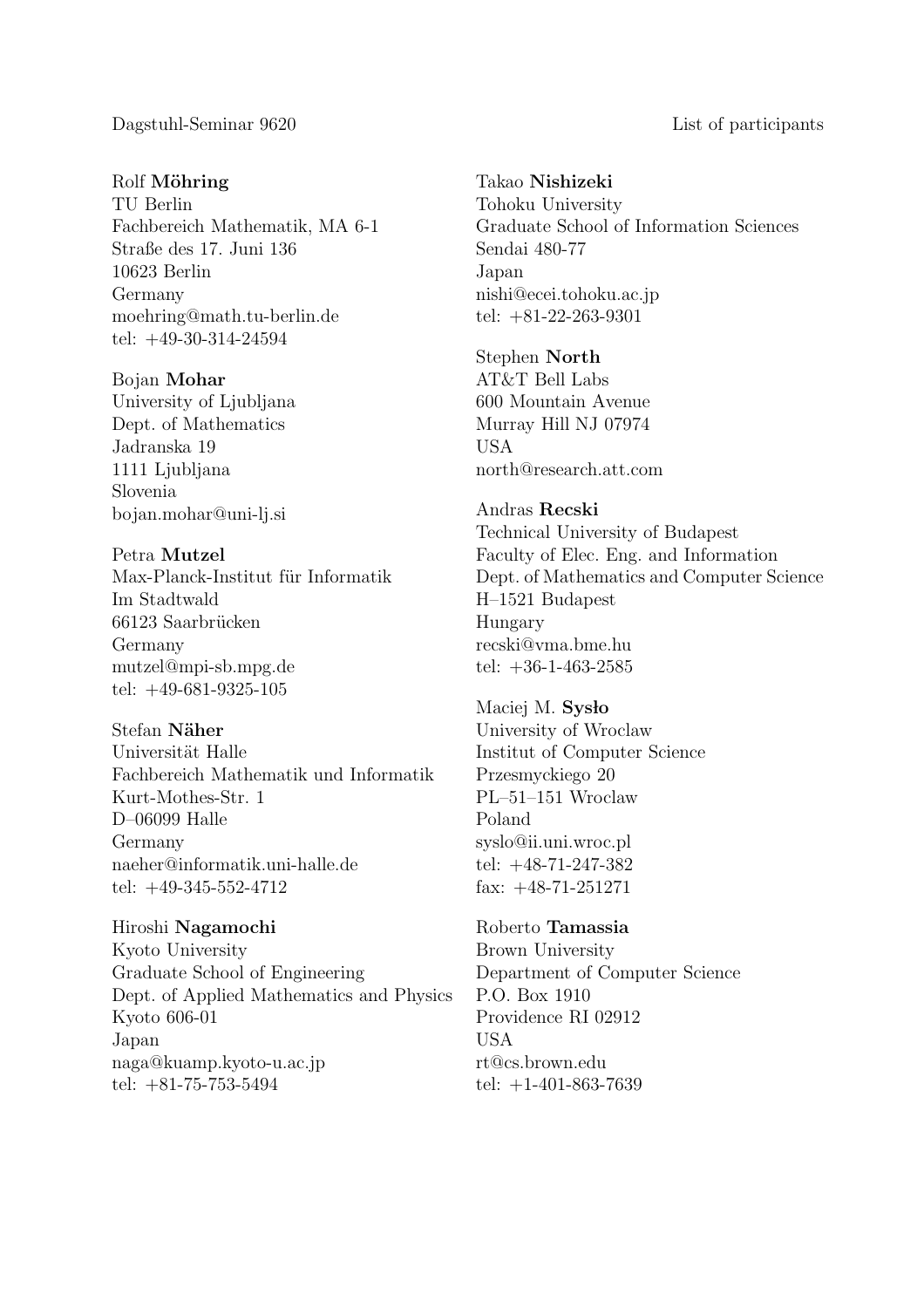#### Rolf Möhring

TU Berlin Fachbereich Mathematik, MA 6-1 Straße des 17. Juni 136 10623 Berlin Germany moehring@math.tu-berlin.de tel: +49-30-314-24594

Bojan Mohar University of Ljubljana Dept. of Mathematics Jadranska 19 1111 Ljubljana Slovenia bojan.mohar@uni-lj.si

Petra Mutzel Max-Planck-Institut für Informatik Im Stadtwald 66123 Saarbrücken Germany mutzel@mpi-sb.mpg.de tel: +49-681-9325-105

Stefan Näher

Universität Halle Fachbereich Mathematik und Informatik Kurt-Mothes-Str. 1 D–06099 Halle Germany naeher@informatik.uni-halle.de tel: +49-345-552-4712

Hiroshi Nagamochi Kyoto University Graduate School of Engineering Dept. of Applied Mathematics and Physics Kyoto 606-01 Japan naga@kuamp.kyoto-u.ac.jp tel: +81-75-753-5494

Takao Nishizeki Tohoku University Graduate School of Information Sciences Sendai 480-77 Japan nishi@ecei.tohoku.ac.jp tel: +81-22-263-9301

Stephen North AT&T Bell Labs 600 Mountain Avenue Murray Hill NJ 07974 USA north@research.att.com

### Andras Recski

Technical University of Budapest Faculty of Elec. Eng. and Information Dept. of Mathematics and Computer Science H–1521 Budapest Hungary recski@vma.bme.hu tel:  $+36-1-463-2585$ 

Maciej M. Sysło University of Wroclaw Institut of Computer Science Przesmyckiego 20 PL–51–151 Wroclaw Poland syslo@ii.uni.wroc.pl tel: +48-71-247-382 fax: +48-71-251271

Roberto Tamassia Brown University Department of Computer Science P.O. Box 1910 Providence RI 02912 USA rt@cs.brown.edu tel:  $+1-401-863-7639$